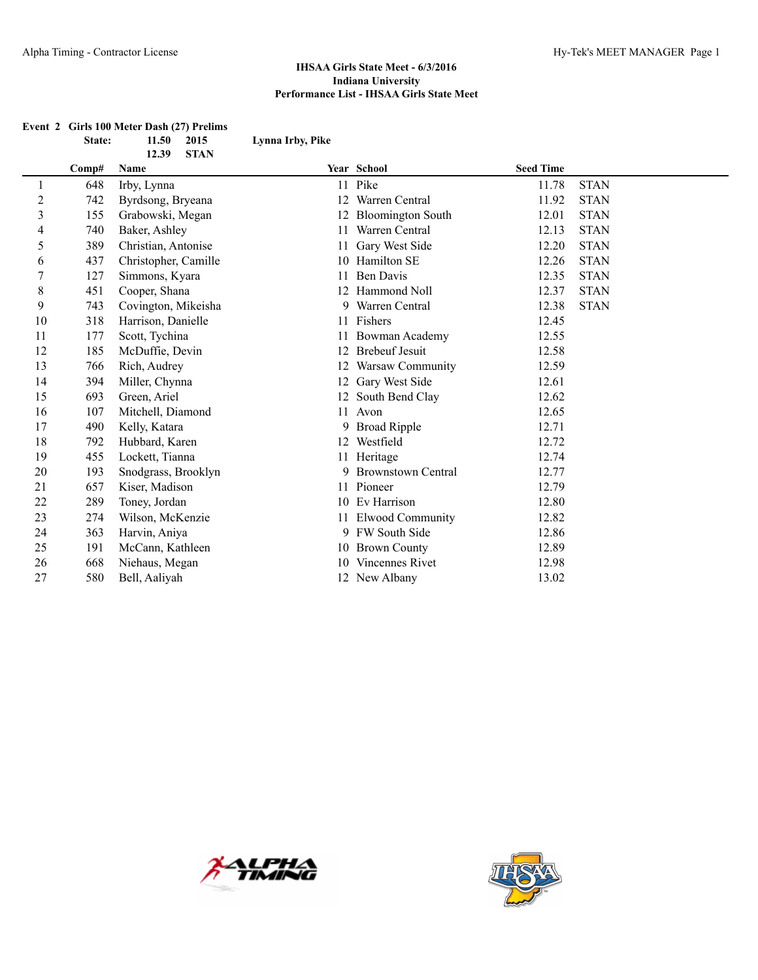**Event 2 Girls 100 Meter Dash (27) Prelims**

|                     | State: | 11.50<br>2015                       | Lynna Irby, Pike |                           |                  |             |
|---------------------|--------|-------------------------------------|------------------|---------------------------|------------------|-------------|
|                     |        | 12.39<br><b>STAN</b><br><b>Name</b> |                  | Year School               | <b>Seed Time</b> |             |
|                     | Comp#  |                                     |                  | 11 Pike                   |                  | <b>STAN</b> |
| 1<br>$\overline{c}$ | 648    | Irby, Lynna                         | 12               | Warren Central            | 11.78<br>11.92   | <b>STAN</b> |
|                     | 742    | Byrdsong, Bryeana                   |                  |                           |                  |             |
| 3                   | 155    | Grabowski, Megan                    |                  | 12 Bloomington South      | 12.01            | <b>STAN</b> |
| 4                   | 740    | Baker, Ashley                       | 11               | Warren Central            | 12.13            | <b>STAN</b> |
| 5                   | 389    | Christian, Antonise                 |                  | Gary West Side            | 12.20            | <b>STAN</b> |
| 6                   | 437    | Christopher, Camille                | 10               | Hamilton SE               | 12.26            | <b>STAN</b> |
| 7                   | 127    | Simmons, Kyara                      | 11               | Ben Davis                 | 12.35            | <b>STAN</b> |
| $\,8$               | 451    | Cooper, Shana                       | 12               | Hammond Noll              | 12.37            | <b>STAN</b> |
| 9                   | 743    | Covington, Mikeisha                 | 9                | Warren Central            | 12.38            | <b>STAN</b> |
| 10                  | 318    | Harrison, Danielle                  | 11               | Fishers                   | 12.45            |             |
| 11                  | 177    | Scott, Tychina                      |                  | Bowman Academy            | 12.55            |             |
| 12                  | 185    | McDuffie, Devin                     | 12               | <b>Brebeuf Jesuit</b>     | 12.58            |             |
| 13                  | 766    | Rich, Audrey                        |                  | 12 Warsaw Community       | 12.59            |             |
| 14                  | 394    | Miller, Chynna                      |                  | 12 Gary West Side         | 12.61            |             |
| 15                  | 693    | Green, Ariel                        |                  | 12 South Bend Clay        | 12.62            |             |
| 16                  | 107    | Mitchell, Diamond                   |                  | 11 Avon                   | 12.65            |             |
| 17                  | 490    | Kelly, Katara                       | 9                | <b>Broad Ripple</b>       | 12.71            |             |
| 18                  | 792    | Hubbard, Karen                      |                  | 12 Westfield              | 12.72            |             |
| 19                  | 455    | Lockett, Tianna                     | 11               | Heritage                  | 12.74            |             |
| 20                  | 193    | Snodgrass, Brooklyn                 | 9                | <b>Brownstown Central</b> | 12.77            |             |
| 21                  | 657    | Kiser, Madison                      |                  | 11 Pioneer                | 12.79            |             |
| 22                  | 289    | Toney, Jordan                       |                  | 10 Ev Harrison            | 12.80            |             |
| 23                  | 274    | Wilson, McKenzie                    | 11               | <b>Elwood Community</b>   | 12.82            |             |
| 24                  | 363    | Harvin, Aniya                       |                  | 9 FW South Side           | 12.86            |             |
| 25                  | 191    | McCann, Kathleen                    |                  | 10 Brown County           | 12.89            |             |
| 26                  | 668    | Niehaus, Megan                      |                  | 10 Vincennes Rivet        | 12.98            |             |
| 27                  | 580    | Bell, Aaliyah                       |                  | 12 New Albany             | 13.02            |             |



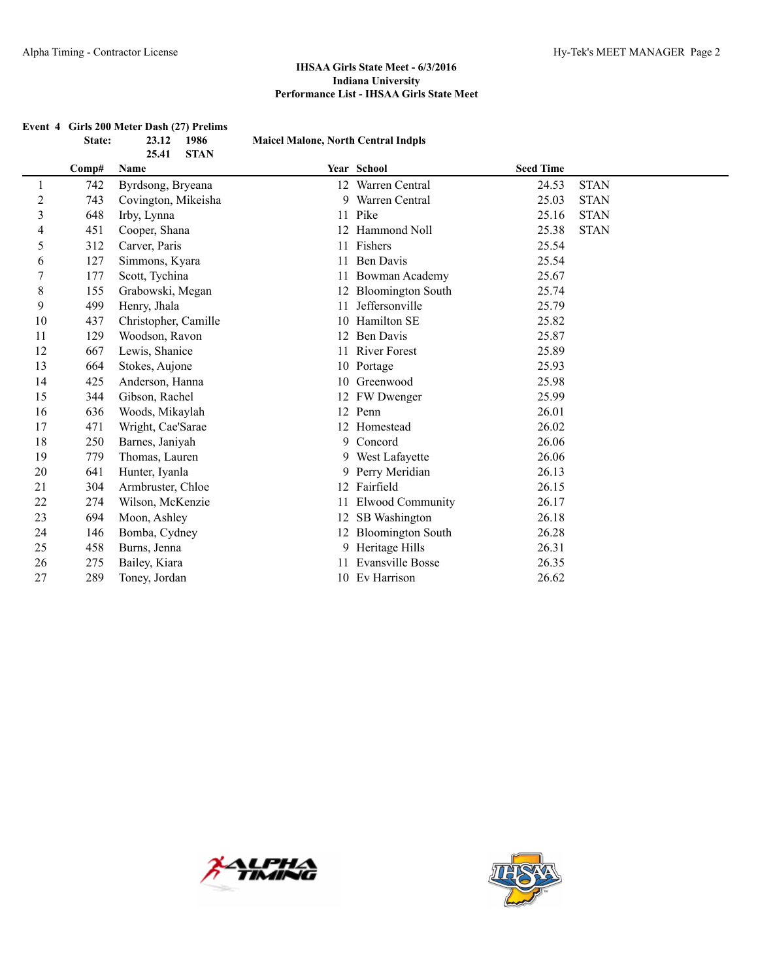|                |       | <b>STAN</b><br>25.41 |    |                          |                  |             |
|----------------|-------|----------------------|----|--------------------------|------------------|-------------|
|                | Comp# | Name                 |    | Year School              | <b>Seed Time</b> |             |
| 1              | 742   | Byrdsong, Bryeana    |    | 12 Warren Central        | 24.53            | <b>STAN</b> |
| $\overline{c}$ | 743   | Covington, Mikeisha  |    | 9 Warren Central         | 25.03            | <b>STAN</b> |
| 3              | 648   | Irby, Lynna          | 11 | Pike                     | 25.16            | <b>STAN</b> |
| 4              | 451   | Cooper, Shana        |    | 12 Hammond Noll          | 25.38            | <b>STAN</b> |
| 5              | 312   | Carver, Paris        | 11 | Fishers                  | 25.54            |             |
| 6              | 127   | Simmons, Kyara       | 11 | <b>Ben Davis</b>         | 25.54            |             |
| 7              | 177   | Scott, Tychina       |    | 11 Bowman Academy        | 25.67            |             |
| 8              | 155   | Grabowski, Megan     |    | 12 Bloomington South     | 25.74            |             |
| 9              | 499   | Henry, Jhala         | 11 | Jeffersonville           | 25.79            |             |
| 10             | 437   | Christopher, Camille | 10 | Hamilton SE              | 25.82            |             |
| 11             | 129   | Woodson, Ravon       | 12 | <b>Ben Davis</b>         | 25.87            |             |
| 12             | 667   | Lewis, Shanice       |    | <b>River Forest</b>      | 25.89            |             |
| 13             | 664   | Stokes, Aujone       |    | 10 Portage               | 25.93            |             |
| 14             | 425   | Anderson, Hanna      |    | 10 Greenwood             | 25.98            |             |
| 15             | 344   | Gibson, Rachel       |    | 12 FW Dwenger            | 25.99            |             |
| 16             | 636   | Woods, Mikaylah      |    | 12 Penn                  | 26.01            |             |
| 17             | 471   | Wright, Cae'Sarae    |    | 12 Homestead             | 26.02            |             |
| 18             | 250   | Barnes, Janiyah      |    | 9 Concord                | 26.06            |             |
| 19             | 779   | Thomas, Lauren       |    | 9 West Lafayette         | 26.06            |             |
| 20             | 641   | Hunter, Iyanla       | 9  | Perry Meridian           | 26.13            |             |
| 21             | 304   | Armbruster, Chloe    |    | 12 Fairfield             | 26.15            |             |
| 22             | 274   | Wilson, McKenzie     | 11 | <b>Elwood Community</b>  | 26.17            |             |
| 23             | 694   | Moon, Ashley         | 12 | SB Washington            | 26.18            |             |
| 24             | 146   | Bomba, Cydney        | 12 | <b>Bloomington South</b> | 26.28            |             |
| 25             | 458   | Burns, Jenna         | 9  | Heritage Hills           | 26.31            |             |
| 26             | 275   | Bailey, Kiara        |    | <b>Evansville Bosse</b>  | 26.35            |             |
| 27             | 289   | Toney, Jordan        |    | 10 Ev Harrison           | 26.62            |             |

#### **Event 4 Girls 200 Meter Dash (27) Prelims State: 23.12 1986 Maicel Malone, North Central Indpls**



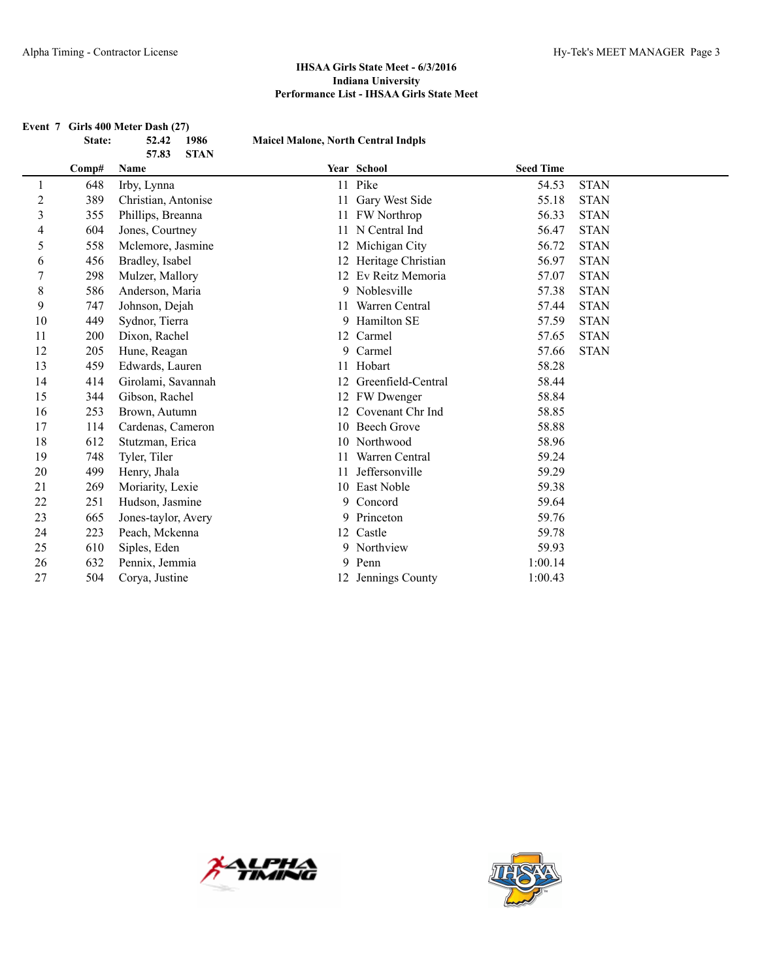|                | State: | Event 7 Girls 400 Meter Dash (27)<br>1986<br>52.42 | <b>Maicel Malone, North Central Indpls</b> |                       |                  |             |
|----------------|--------|----------------------------------------------------|--------------------------------------------|-----------------------|------------------|-------------|
|                | Comp#  | 57.83<br><b>STAN</b><br>Name                       |                                            | Year School           | <b>Seed Time</b> |             |
| 1              | 648    | Irby, Lynna                                        |                                            | 11 Pike               | 54.53            | <b>STAN</b> |
| $\overline{c}$ | 389    | Christian, Antonise                                | 11                                         | Gary West Side        | 55.18            | <b>STAN</b> |
| 3              | 355    | Phillips, Breanna                                  | 11                                         | <b>FW</b> Northrop    | 56.33            | <b>STAN</b> |
| 4              | 604    | Jones, Courtney                                    | 11                                         | N Central Ind         | 56.47            | <b>STAN</b> |
| 5              | 558    | Mclemore, Jasmine                                  |                                            | 12 Michigan City      | 56.72            | <b>STAN</b> |
| 6              | 456    | Bradley, Isabel                                    | 12                                         | Heritage Christian    | 56.97            | <b>STAN</b> |
| 7              | 298    | Mulzer, Mallory                                    |                                            | 12 Ev Reitz Memoria   | 57.07            | <b>STAN</b> |
| $\,$ $\,$      | 586    | Anderson, Maria                                    |                                            | 9 Noblesville         | 57.38            | <b>STAN</b> |
| 9              | 747    | Johnson, Dejah                                     | 11                                         | Warren Central        | 57.44            | <b>STAN</b> |
| 10             | 449    | Sydnor, Tierra                                     | 9                                          | Hamilton SE           | 57.59            | <b>STAN</b> |
| 11             | 200    | Dixon, Rachel                                      |                                            | 12 Carmel             | 57.65            | <b>STAN</b> |
| 12             | 205    | Hune, Reagan                                       |                                            | 9 Carmel              | 57.66            | <b>STAN</b> |
| 13             | 459    | Edwards, Lauren                                    | 11                                         | Hobart                | 58.28            |             |
| 14             | 414    | Girolami, Savannah                                 |                                            | 12 Greenfield-Central | 58.44            |             |
| 15             | 344    | Gibson, Rachel                                     | 12                                         | FW Dwenger            | 58.84            |             |
| 16             | 253    | Brown, Autumn                                      | 12                                         | Covenant Chr Ind      | 58.85            |             |
| 17             | 114    | Cardenas, Cameron                                  |                                            | 10 Beech Grove        | 58.88            |             |
| 18             | 612    | Stutzman, Erica                                    |                                            | 10 Northwood          | 58.96            |             |
| 19             | 748    | Tyler, Tiler                                       | 11                                         | Warren Central        | 59.24            |             |
| 20             | 499    | Henry, Jhala                                       | 11                                         | Jeffersonville        | 59.29            |             |
| 21             | 269    | Moriarity, Lexie                                   |                                            | 10 East Noble         | 59.38            |             |
| 22             | 251    | Hudson, Jasmine                                    | 9                                          | Concord               | 59.64            |             |
| 23             | 665    | Jones-taylor, Avery                                | 9                                          | Princeton             | 59.76            |             |
| 24             | 223    | Peach, Mckenna                                     |                                            | 12 Castle             | 59.78            |             |
| 25             | 610    | Siples, Eden                                       |                                            | 9 Northview           | 59.93            |             |
| 26             | 632    | Pennix, Jemmia                                     |                                            | 9 Penn                | 1:00.14          |             |
| 27             | 504    | Corya, Justine                                     |                                            | 12 Jennings County    | 1:00.43          |             |



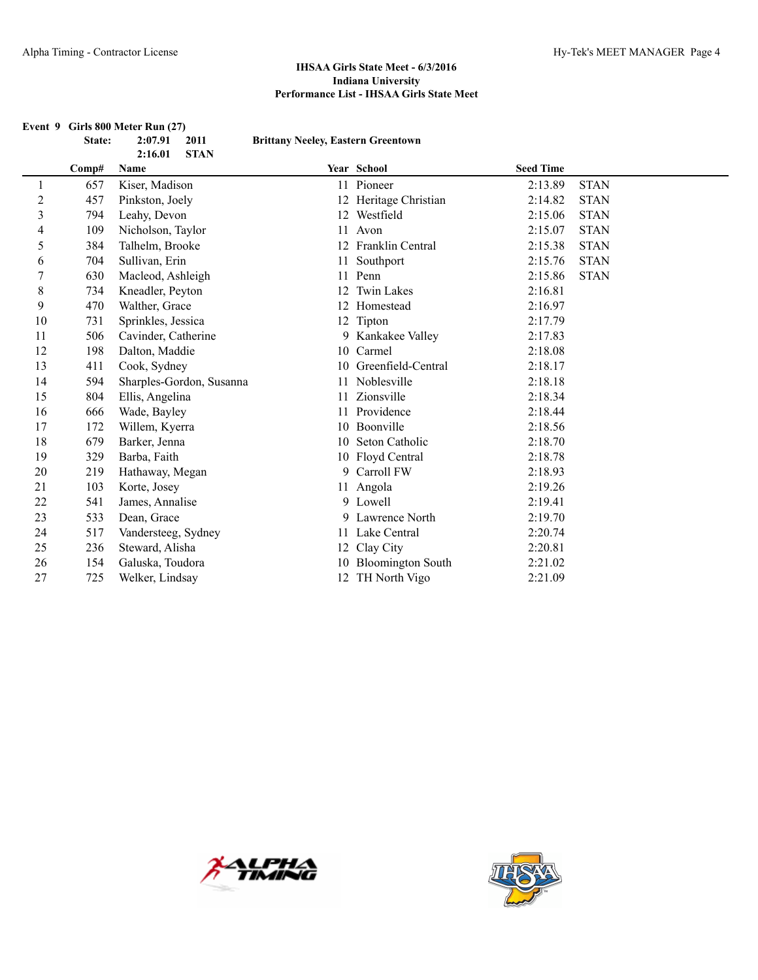|                         | State: | Event 9 Girls 800 Meter Run (27)<br>2:07.91<br>2011 | <b>Brittany Neeley, Eastern Greentown</b> |                       |                  |             |
|-------------------------|--------|-----------------------------------------------------|-------------------------------------------|-----------------------|------------------|-------------|
|                         |        | 2:16.01<br><b>STAN</b>                              |                                           |                       |                  |             |
|                         | Comp#  | Name                                                |                                           | Year School           | <b>Seed Time</b> |             |
| 1                       | 657    | Kiser, Madison                                      |                                           | 11 Pioneer            | 2:13.89          | <b>STAN</b> |
| $\overline{\mathbf{c}}$ | 457    | Pinkston, Joely                                     |                                           | 12 Heritage Christian | 2:14.82          | <b>STAN</b> |
| 3                       | 794    | Leahy, Devon                                        | 12                                        | Westfield             | 2:15.06          | <b>STAN</b> |
| 4                       | 109    | Nicholson, Taylor                                   | 11                                        | Avon                  | 2:15.07          | <b>STAN</b> |
| 5                       | 384    | Talhelm, Brooke                                     |                                           | 12 Franklin Central   | 2:15.38          | <b>STAN</b> |
| 6                       | 704    | Sullivan, Erin                                      | 11                                        | Southport             | 2:15.76          | <b>STAN</b> |
| 7                       | 630    | Macleod, Ashleigh                                   |                                           | 11 Penn               | 2:15.86          | <b>STAN</b> |
| 8                       | 734    | Kneadler, Peyton                                    | 12                                        | <b>Twin Lakes</b>     | 2:16.81          |             |
| 9                       | 470    | Walther, Grace                                      | 12                                        | Homestead             | 2:16.97          |             |
| 10                      | 731    | Sprinkles, Jessica                                  |                                           | 12 Tipton             | 2:17.79          |             |
| 11                      | 506    | Cavinder, Catherine                                 | 9                                         | Kankakee Valley       | 2:17.83          |             |
| 12                      | 198    | Dalton, Maddie                                      |                                           | 10 Carmel             | 2:18.08          |             |
| 13                      | 411    | Cook, Sydney                                        | 10                                        | Greenfield-Central    | 2:18.17          |             |
| 14                      | 594    | Sharples-Gordon, Susanna                            | 11                                        | Noblesville           | 2:18.18          |             |
| 15                      | 804    | Ellis, Angelina                                     | 11                                        | Zionsville            | 2:18.34          |             |
| 16                      | 666    | Wade, Bayley                                        | 11                                        | Providence            | 2:18.44          |             |
| 17                      | 172    | Willem, Kyerra                                      |                                           | 10 Boonville          | 2:18.56          |             |
| 18                      | 679    | Barker, Jenna                                       |                                           | 10 Seton Catholic     | 2:18.70          |             |
| 19                      | 329    | Barba, Faith                                        |                                           | 10 Floyd Central      | 2:18.78          |             |
| 20                      | 219    | Hathaway, Megan                                     | 9                                         | Carroll FW            | 2:18.93          |             |
| 21                      | 103    | Korte, Josey                                        |                                           | 11 Angola             | 2:19.26          |             |
| 22                      | 541    | James, Annalise                                     |                                           | 9 Lowell              | 2:19.41          |             |
| 23                      | 533    | Dean, Grace                                         | 9                                         | Lawrence North        | 2:19.70          |             |
| 24                      | 517    | Vandersteeg, Sydney                                 |                                           | 11 Lake Central       | 2:20.74          |             |
| 25                      | 236    | Steward, Alisha                                     |                                           | 12 Clay City          | 2:20.81          |             |
| 26                      | 154    | Galuska, Toudora                                    |                                           | 10 Bloomington South  | 2:21.02          |             |
| 27                      | 725    | Welker, Lindsay                                     |                                           | 12 TH North Vigo      | 2:21.09          |             |



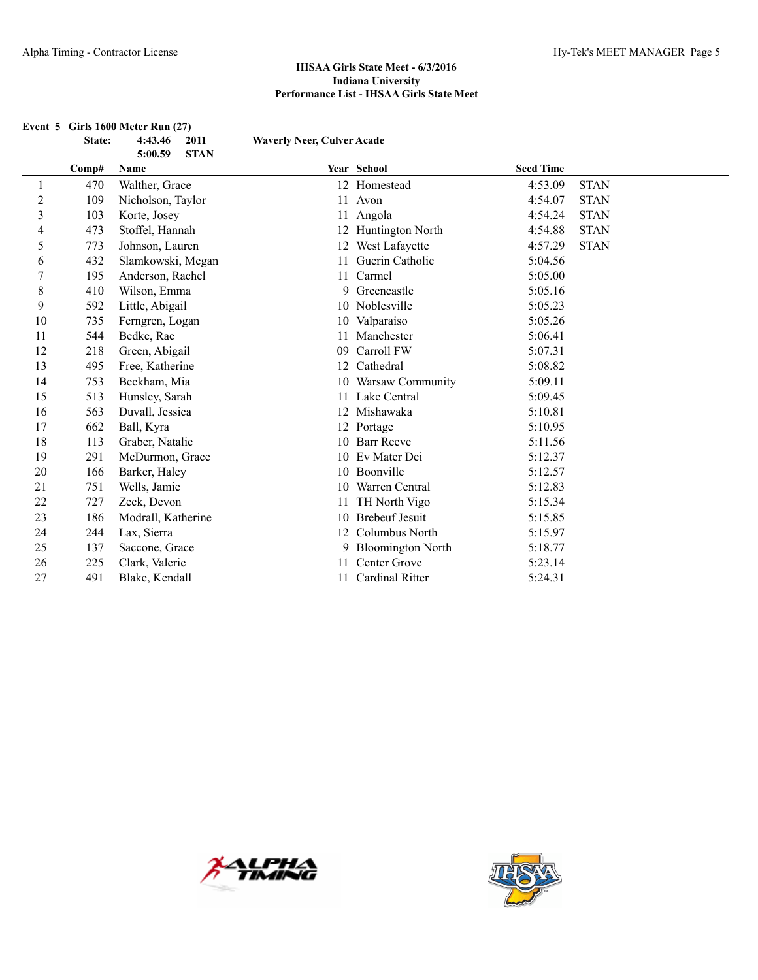**Event 5 Girls 1600 Meter Run (27)**

#### **IHSAA Girls State Meet - 6/3/2016 Indiana University Performance List - IHSAA Girls State Meet**

# **State: 4:43.46 2011 Waverly Neer, Culver Acade 5:00.59 STAN Comp# Name Year School Seed Time** 1 470 Walther, Grace 12 Homestead 4:53.09 STAN 2 109 Nicholson, Taylor 11 Avon 4:54.07 STAN 3 103 Korte, Josey 11 Angola 4:54.24 STAN 4 473 Stoffel, Hannah 12 Huntington North 4:54.88 STAN 5 773 Johnson, Lauren 12 West Lafayette 4:57.29 STAN 6 432 Slamkowski, Megan 11 Guerin Catholic 5:04.56 7 195 Anderson, Rachel 11 Carmel 5:05.00 8 410 Wilson, Emma 9 Greencastle 5:05.16 9 592 Little, Abigail 10 Noblesville 5:05.23 10 735 Ferngren, Logan 10 Valparaiso 5:05.26 11 544 Bedke, Rae 11 Manchester 5:06.41 12 218 Green, Abigail 09 Carroll FW 5:07.31 13 495 Free, Katherine 12 Cathedral 5:08.82 14 753 Beckham, Mia 10 Warsaw Community 5:09.11 15 513 Hunsley, Sarah 11 Lake Central 5:09.45 16 563 Duvall, Jessica 12 Mishawaka 5:10.81 17 662 Ball, Kyra 12 Portage 5:10.95 18 113 Graber, Natalie 10 Barr Reeve 5:11.56 19 291 McDurmon, Grace 10 Ev Mater Dei 5:12.37 20 166 Barker, Haley 10 Boonville 5:12.57 21 751 Wells, Jamie 10 Warren Central 5:12.83 22 727 Zeck, Devon 11 TH North Vigo 5:15.34 23 186 Modrall, Katherine 10 Brebeuf Jesuit 5:15.85 24 244 Lax, Sierra 12 Columbus North 5:15.97 25 137 Saccone, Grace 9 Bloomington North 5:18.77 26 225 Clark, Valerie 11 Center Grove 5:23.14 27 491 Blake, Kendall 11 Cardinal Ritter 5:24.31



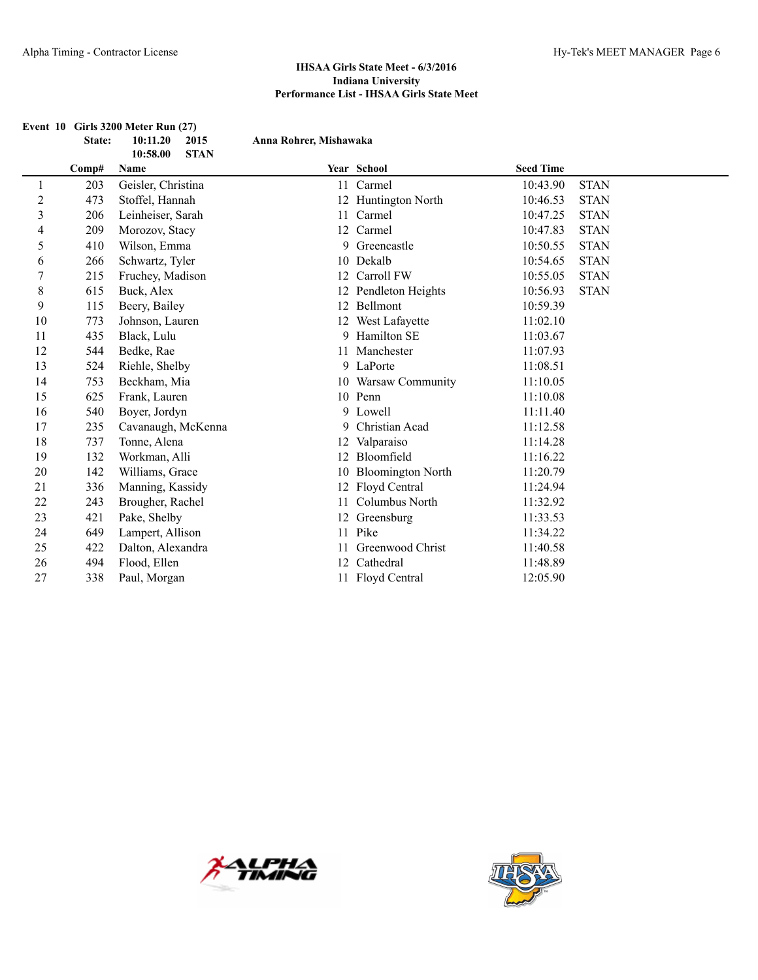|                |        | Event 10 Girls 3200 Meter Run (27) |                        |                      |                  |             |
|----------------|--------|------------------------------------|------------------------|----------------------|------------------|-------------|
|                | State: | 10:11.20<br>2015                   | Anna Rohrer, Mishawaka |                      |                  |             |
|                |        | <b>STAN</b><br>10:58.00            |                        |                      |                  |             |
|                | Comp#  | Name                               |                        | Year School          | <b>Seed Time</b> |             |
| 1              | 203    | Geisler, Christina                 |                        | 11 Carmel            | 10:43.90         | <b>STAN</b> |
| $\overline{c}$ | 473    | Stoffel, Hannah                    |                        | 12 Huntington North  | 10:46.53         | <b>STAN</b> |
| 3              | 206    | Leinheiser, Sarah                  | 11                     | Carmel               | 10:47.25         | <b>STAN</b> |
| 4              | 209    | Morozov, Stacy                     |                        | 12 Carmel            | 10:47.83         | <b>STAN</b> |
| 5              | 410    | Wilson, Emma                       | 9                      | Greencastle          | 10:50.55         | <b>STAN</b> |
| 6              | 266    | Schwartz, Tyler                    |                        | 10 Dekalb            | 10:54.65         | <b>STAN</b> |
| 7              | 215    | Fruchey, Madison                   | 12                     | Carroll FW           | 10:55.05         | <b>STAN</b> |
| $\,$ 8 $\,$    | 615    | Buck, Alex                         |                        | 12 Pendleton Heights | 10:56.93         | <b>STAN</b> |
| 9              | 115    | Beery, Bailey                      |                        | 12 Bellmont          | 10:59.39         |             |
| 10             | 773    | Johnson, Lauren                    |                        | 12 West Lafayette    | 11:02.10         |             |
| 11             | 435    | Black, Lulu                        |                        | 9 Hamilton SE        | 11:03.67         |             |
| 12             | 544    | Bedke, Rae                         |                        | 11 Manchester        | 11:07.93         |             |
| 13             | 524    | Riehle, Shelby                     |                        | 9 LaPorte            | 11:08.51         |             |
| 14             | 753    | Beckham, Mia                       |                        | 10 Warsaw Community  | 11:10.05         |             |
| 15             | 625    | Frank, Lauren                      |                        | 10 Penn              | 11:10.08         |             |
| 16             | 540    | Boyer, Jordyn                      |                        | 9 Lowell             | 11:11.40         |             |
| 17             | 235    | Cavanaugh, McKenna                 | 9                      | Christian Acad       | 11:12.58         |             |
| 18             | 737    | Tonne, Alena                       |                        | 12 Valparaiso        | 11:14.28         |             |
| 19             | 132    | Workman, Alli                      | 12                     | Bloomfield           | 11:16.22         |             |
| 20             | 142    | Williams, Grace                    |                        | 10 Bloomington North | 11:20.79         |             |
| 21             | 336    | Manning, Kassidy                   |                        | 12 Floyd Central     | 11:24.94         |             |
| 22             | 243    | Brougher, Rachel                   |                        | 11 Columbus North    | 11:32.92         |             |
| 23             | 421    | Pake, Shelby                       |                        | 12 Greensburg        | 11:33.53         |             |
| 24             | 649    | Lampert, Allison                   |                        | 11 Pike              | 11:34.22         |             |
| 25             | 422    | Dalton, Alexandra                  | 11                     | Greenwood Christ     | 11:40.58         |             |
| 26             | 494    | Flood, Ellen                       |                        | Cathedral            | 11:48.89         |             |
| 27             | 338    | Paul, Morgan                       |                        | 11 Floyd Central     | 12:05.90         |             |



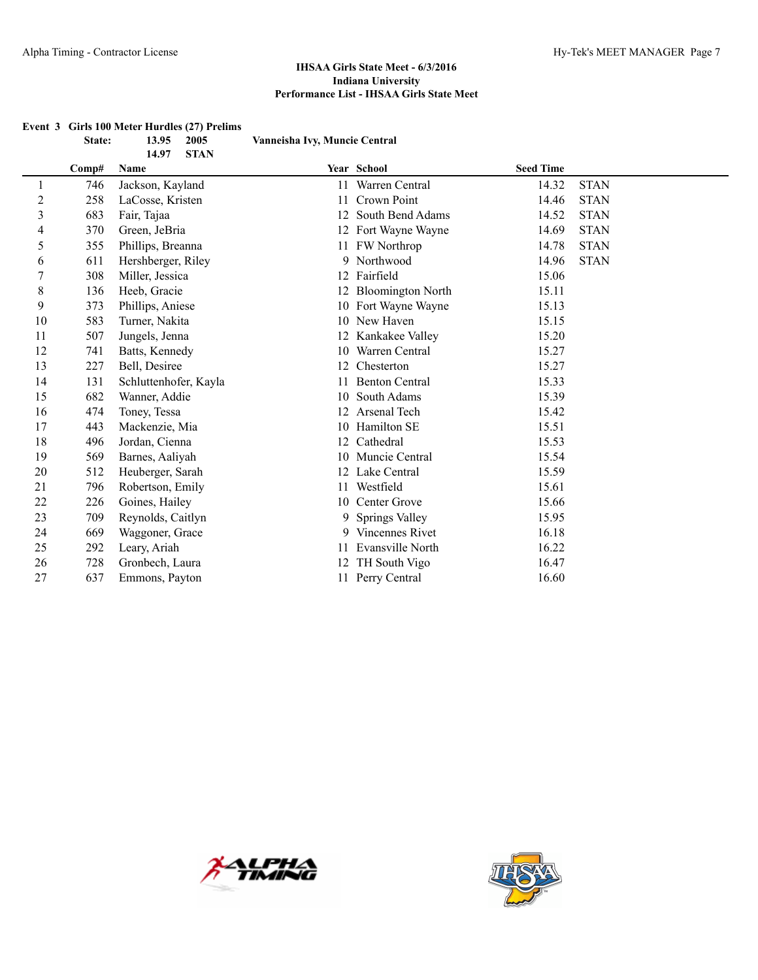|                |       | <b>STAN</b><br>14.97  |    |                       |                  |             |
|----------------|-------|-----------------------|----|-----------------------|------------------|-------------|
|                | Comp# | <b>Name</b>           |    | Year School           | <b>Seed Time</b> |             |
| 1              | 746   | Jackson, Kayland      | 11 | Warren Central        | 14.32            | <b>STAN</b> |
| $\overline{c}$ | 258   | LaCosse, Kristen      |    | 11 Crown Point        | 14.46            | <b>STAN</b> |
| $\mathfrak{Z}$ | 683   | Fair, Tajaa           | 12 | South Bend Adams      | 14.52            | <b>STAN</b> |
| 4              | 370   | Green, JeBria         |    | 12 Fort Wayne Wayne   | 14.69            | <b>STAN</b> |
| 5              | 355   | Phillips, Breanna     |    | 11 FW Northrop        | 14.78            | <b>STAN</b> |
| 6              | 611   | Hershberger, Riley    |    | 9 Northwood           | 14.96            | <b>STAN</b> |
| 7              | 308   | Miller, Jessica       |    | 12 Fairfield          | 15.06            |             |
| $\,8$          | 136   | Heeb, Gracie          |    | 12 Bloomington North  | 15.11            |             |
| 9              | 373   | Phillips, Aniese      |    | 10 Fort Wayne Wayne   | 15.13            |             |
| 10             | 583   | Turner, Nakita        | 10 | New Haven             | 15.15            |             |
| 11             | 507   | Jungels, Jenna        | 12 | Kankakee Valley       | 15.20            |             |
| 12             | 741   | Batts, Kennedy        | 10 | Warren Central        | 15.27            |             |
| 13             | 227   | Bell, Desiree         | 12 | Chesterton            | 15.27            |             |
| 14             | 131   | Schluttenhofer, Kayla | 11 | <b>Benton Central</b> | 15.33            |             |
| 15             | 682   | Wanner, Addie         | 10 | South Adams           | 15.39            |             |
| 16             | 474   | Toney, Tessa          |    | 12 Arsenal Tech       | 15.42            |             |
| 17             | 443   | Mackenzie, Mia        | 10 | Hamilton SE           | 15.51            |             |
| 18             | 496   | Jordan, Cienna        |    | 12 Cathedral          | 15.53            |             |
| 19             | 569   | Barnes, Aaliyah       | 10 | Muncie Central        | 15.54            |             |
| 20             | 512   | Heuberger, Sarah      | 12 | Lake Central          | 15.59            |             |
| 21             | 796   | Robertson, Emily      | 11 | Westfield             | 15.61            |             |
| 22             | 226   | Goines, Hailey        | 10 | Center Grove          | 15.66            |             |
| 23             | 709   | Reynolds, Caitlyn     | 9  | <b>Springs Valley</b> | 15.95            |             |
| 24             | 669   | Waggoner, Grace       | 9  | Vincennes Rivet       | 16.18            |             |
| 25             | 292   | Leary, Ariah          | 11 | Evansville North      | 16.22            |             |
| 26             | 728   | Gronbech, Laura       |    | 12 TH South Vigo      | 16.47            |             |
| 27             | 637   | Emmons, Payton        |    | 11 Perry Central      | 16.60            |             |

#### **Event 3 Girls 100 Meter Hurdles (27) Prelims State: 13.95 2005 Vanneisha Ivy, Muncie Central**



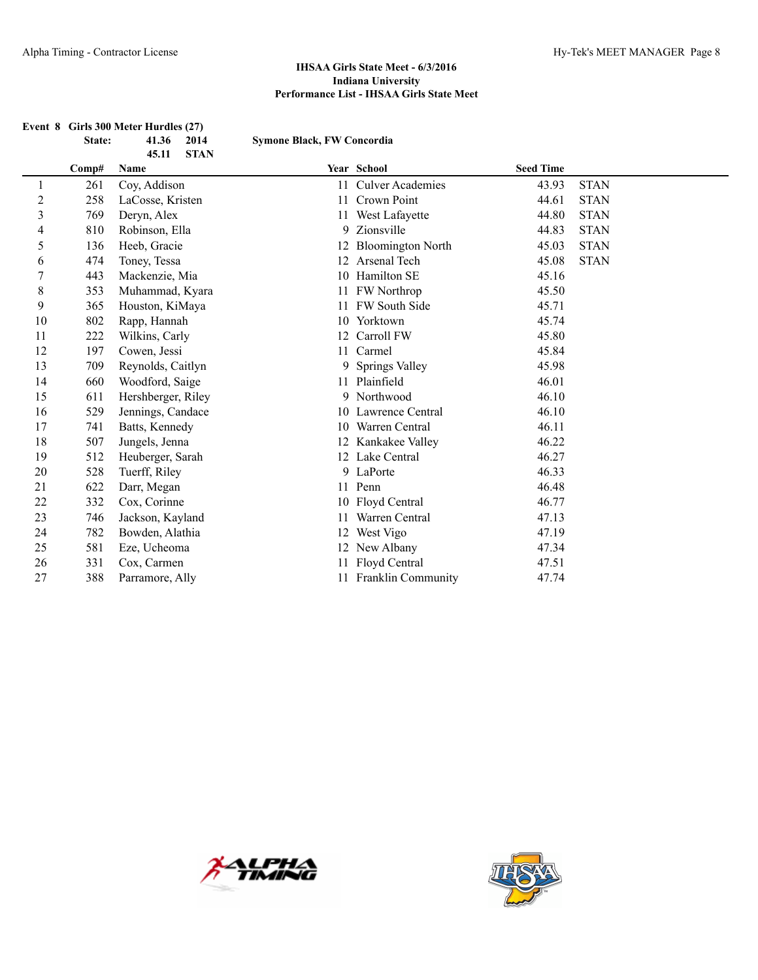|                | State: | 41.36<br>2014                | <b>Symone Black, FW Concordia</b> |                         |                  |             |
|----------------|--------|------------------------------|-----------------------------------|-------------------------|------------------|-------------|
|                | Comp#  | 45.11<br><b>STAN</b><br>Name |                                   | Year School             | <b>Seed Time</b> |             |
| 1              | 261    | Coy, Addison                 | 11                                | <b>Culver Academies</b> | 43.93            | <b>STAN</b> |
| $\overline{c}$ | 258    | LaCosse, Kristen             |                                   | 11 Crown Point          | 44.61            | <b>STAN</b> |
| 3              | 769    | Deryn, Alex                  | 11                                | West Lafayette          | 44.80            | <b>STAN</b> |
| 4              | 810    | Robinson, Ella               |                                   | 9 Zionsville            | 44.83            | <b>STAN</b> |
| 5              | 136    | Heeb, Gracie                 |                                   | 12 Bloomington North    | 45.03            | <b>STAN</b> |
| 6              | 474    | Toney, Tessa                 |                                   | 12 Arsenal Tech         | 45.08            | <b>STAN</b> |
| 7              | 443    | Mackenzie, Mia               |                                   | 10 Hamilton SE          | 45.16            |             |
| 8              | 353    | Muhammad, Kyara              |                                   | 11 FW Northrop          | 45.50            |             |
| 9              | 365    | Houston, KiMaya              | 11                                | FW South Side           | 45.71            |             |
| 10             | 802    | Rapp, Hannah                 |                                   | 10 Yorktown             | 45.74            |             |
| 11             | 222    | Wilkins, Carly               |                                   | 12 Carroll FW           | 45.80            |             |
| 12             | 197    | Cowen, Jessi                 |                                   | 11 Carmel               | 45.84            |             |
| 13             | 709    | Reynolds, Caitlyn            |                                   | 9 Springs Valley        | 45.98            |             |
| 14             | 660    | Woodford, Saige              |                                   | 11 Plainfield           | 46.01            |             |
| 15             | 611    | Hershberger, Riley           |                                   | 9 Northwood             | 46.10            |             |
| 16             | 529    | Jennings, Candace            |                                   | 10 Lawrence Central     | 46.10            |             |
| 17             | 741    | Batts, Kennedy               |                                   | 10 Warren Central       | 46.11            |             |
| 18             | 507    | Jungels, Jenna               |                                   | 12 Kankakee Valley      | 46.22            |             |
| 19             | 512    | Heuberger, Sarah             |                                   | 12 Lake Central         | 46.27            |             |
| 20             | 528    | Tuerff, Riley                |                                   | 9 LaPorte               | 46.33            |             |
| 21             | 622    | Darr, Megan                  |                                   | 11 Penn                 | 46.48            |             |
| 22             | 332    | Cox, Corinne                 |                                   | 10 Floyd Central        | 46.77            |             |
| 23             | 746    | Jackson, Kayland             | 11                                | Warren Central          | 47.13            |             |
| 24             | 782    | Bowden, Alathia              |                                   | 12 West Vigo            | 47.19            |             |
| 25             | 581    | Eze, Ucheoma                 |                                   | 12 New Albany           | 47.34            |             |
| 26             | 331    | Cox, Carmen                  |                                   | Floyd Central           | 47.51            |             |
| 27             | 388    | Parramore, Ally              |                                   | 11 Franklin Community   | 47.74            |             |

# **Event 8 Girls 300 Meter Hurdles (27)**



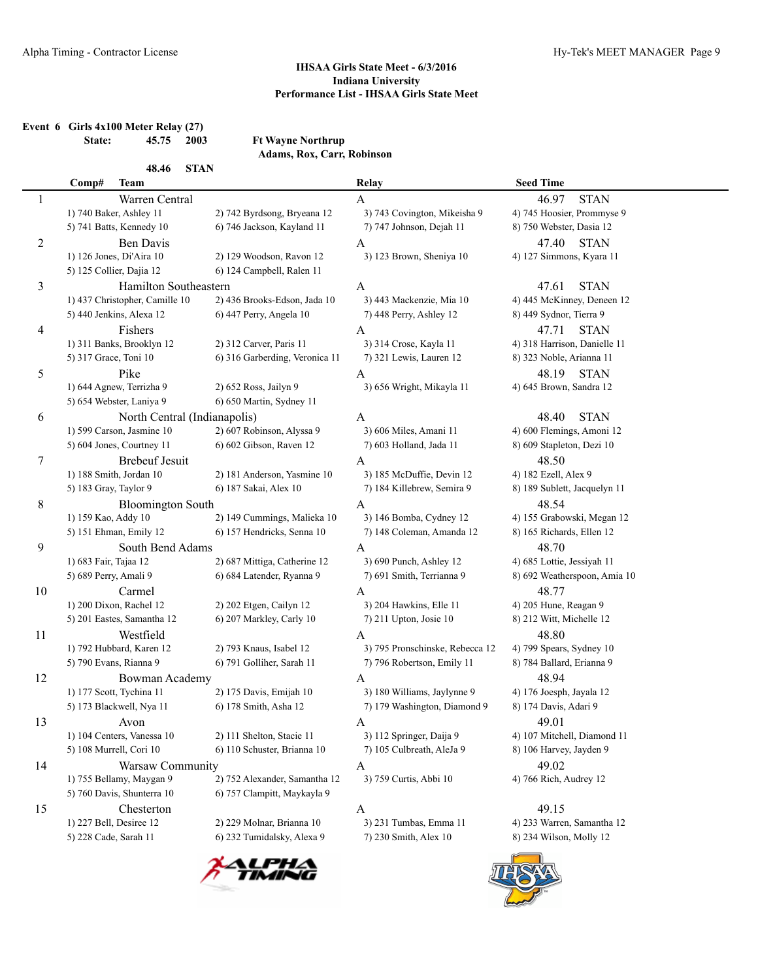**Event 6 Girls 4x100 Meter Relay (27)**

**State: 45.75 2003 Ft Wayne Northrup**

| 48.46 | <b>STAN</b> |
|-------|-------------|
|       |             |

| <b>Adams, Rox, Carr, Robinson</b> |  |  |
|-----------------------------------|--|--|
|-----------------------------------|--|--|

|    | Comp#<br><b>Team</b>           |                                | Relay                           | <b>Seed Time</b>             |
|----|--------------------------------|--------------------------------|---------------------------------|------------------------------|
| 1  | Warren Central                 |                                | $\mathbf{A}$                    | 46.97<br><b>STAN</b>         |
|    | 1) 740 Baker, Ashley 11        | 2) 742 Byrdsong, Bryeana 12    | 3) 743 Covington, Mikeisha 9    | 4) 745 Hoosier, Prommyse 9   |
|    | 5) 741 Batts, Kennedy 10       | 6) 746 Jackson, Kayland 11     | 7) 747 Johnson, Dejah 11        | 8) 750 Webster, Dasia 12     |
| 2  | Ben Davis                      |                                | A                               | 47.40<br><b>STAN</b>         |
|    | 1) 126 Jones, Di'Aira 10       | 2) 129 Woodson, Ravon 12       | 3) 123 Brown, Sheniya 10        | 4) 127 Simmons, Kyara 11     |
|    | 5) 125 Collier, Dajia 12       | 6) 124 Campbell, Ralen 11      |                                 |                              |
| 3  | Hamilton Southeastern          |                                | A                               | <b>STAN</b><br>47.61         |
|    | 1) 437 Christopher, Camille 10 | 2) 436 Brooks-Edson, Jada 10   | 3) 443 Mackenzie, Mia 10        | 4) 445 McKinney, Deneen 12   |
|    | 5) 440 Jenkins, Alexa 12       | 6) 447 Perry, Angela 10        | 7) 448 Perry, Ashley 12         | 8) 449 Sydnor, Tierra 9      |
| 4  | Fishers                        |                                | A                               | 47.71<br><b>STAN</b>         |
|    | 1) 311 Banks, Brooklyn 12      | 2) 312 Carver, Paris 11        | 3) 314 Crose, Kayla 11          | 4) 318 Harrison, Danielle 11 |
|    | 5) 317 Grace, Toni 10          | 6) 316 Garberding, Veronica 11 | 7) 321 Lewis, Lauren 12         | 8) 323 Noble, Arianna 11     |
| 5  | Pike                           |                                | A                               | 48.19<br><b>STAN</b>         |
|    | 1) 644 Agnew, Terrizha 9       | 2) 652 Ross, Jailyn 9          | 3) 656 Wright, Mikayla 11       | 4) 645 Brown, Sandra 12      |
|    | 5) 654 Webster, Laniya 9       | 6) 650 Martin, Sydney 11       |                                 |                              |
| 6  | North Central (Indianapolis)   |                                | A                               | <b>STAN</b><br>48.40         |
|    | 1) 599 Carson, Jasmine 10      | 2) 607 Robinson, Alyssa 9      | 3) 606 Miles, Amani 11          | 4) 600 Flemings, Amoni 12    |
|    | 5) 604 Jones, Courtney 11      | 6) 602 Gibson, Raven 12        | 7) 603 Holland, Jada 11         | 8) 609 Stapleton, Dezi 10    |
| 7  | <b>Brebeuf Jesuit</b>          |                                | A                               | 48.50                        |
|    | 1) 188 Smith, Jordan 10        | 2) 181 Anderson, Yasmine 10    | 3) 185 McDuffie, Devin 12       | 4) 182 Ezell, Alex 9         |
|    | 5) 183 Gray, Taylor 9          | 6) 187 Sakai, Alex 10          | 7) 184 Killebrew, Semira 9      | 8) 189 Sublett, Jacquelyn 11 |
| 8  | <b>Bloomington South</b>       |                                | A                               | 48.54                        |
|    | 1) 159 Kao, Addy 10            | 2) 149 Cummings, Malieka 10    | 3) 146 Bomba, Cydney 12         | 4) 155 Grabowski, Megan 12   |
|    | 5) 151 Ehman, Emily 12         | 6) 157 Hendricks, Senna 10     | 7) 148 Coleman, Amanda 12       | 8) 165 Richards, Ellen 12    |
| 9  | South Bend Adams               |                                | A                               | 48.70                        |
|    | 1) 683 Fair, Tajaa 12          | 2) 687 Mittiga, Catherine 12   | 3) 690 Punch, Ashley 12         | 4) 685 Lottie, Jessiyah 11   |
|    | 5) 689 Perry, Amali 9          | 6) 684 Latender, Ryanna 9      | 7) 691 Smith, Terrianna 9       | 8) 692 Weatherspoon, Amia 10 |
| 10 | Carmel                         |                                | A                               | 48.77                        |
|    | 1) 200 Dixon, Rachel 12        | 2) 202 Etgen, Cailyn 12        | 3) 204 Hawkins, Elle 11         | 4) 205 Hune, Reagan 9        |
|    | 5) 201 Eastes, Samantha 12     | 6) 207 Markley, Carly 10       | 7) 211 Upton, Josie 10          | 8) 212 Witt, Michelle 12     |
| 11 | Westfield                      |                                | A                               | 48.80                        |
|    | 1) 792 Hubbard, Karen 12       | 2) 793 Knaus, Isabel 12        | 3) 795 Pronschinske, Rebecca 12 | 4) 799 Spears, Sydney 10     |
|    | 5) 790 Evans, Rianna 9         | 6) 791 Golliher, Sarah 11      | 7) 796 Robertson, Emily 11      | 8) 784 Ballard, Erianna 9    |
| 12 | Bowman Academy                 |                                | A                               | 48.94                        |
|    | 1) 177 Scott, Tychina 11       | 2) 175 Davis, Emijah 10        | 3) 180 Williams, Jaylynne 9     | 4) 176 Joesph, Jayala 12     |
|    | 5) 173 Blackwell, Nya 11       | 6) 178 Smith, Asha 12          | 7) 179 Washington, Diamond 9    | 8) 174 Davis, Adari 9        |
| 13 | Avon                           |                                | A                               | 49.01                        |
|    | 1) 104 Centers, Vanessa 10     | 2) 111 Shelton, Stacie 11      | 3) 112 Springer, Daija 9        | 4) 107 Mitchell, Diamond 11  |
|    | 5) 108 Murrell, Cori 10        | 6) 110 Schuster, Brianna 10    | 7) 105 Culbreath, AleJa 9       | 8) 106 Harvey, Jayden 9      |
| 14 | Warsaw Community               |                                | A                               | 49.02                        |
|    | 1) 755 Bellamy, Maygan 9       | 2) 752 Alexander, Samantha 12  | 3) 759 Curtis, Abbi 10          | 4) 766 Rich, Audrey 12       |
|    | 5) 760 Davis, Shunterra 10     | 6) 757 Clampitt, Maykayla 9    |                                 |                              |
| 15 | Chesterton                     |                                | A                               | 49.15                        |
|    | 1) 227 Bell, Desiree 12        | 2) 229 Molnar, Brianna 10      | 3) 231 Tumbas, Emma 11          | 4) 233 Warren, Samantha 12   |
|    | 5) 228 Cade, Sarah 11          | 6) 232 Tumidalsky, Alexa 9     | 7) 230 Smith, Alex 10           | 8) 234 Wilson, Molly 12      |
|    |                                |                                |                                 |                              |
|    |                                | ХАІ РНА                        |                                 |                              |



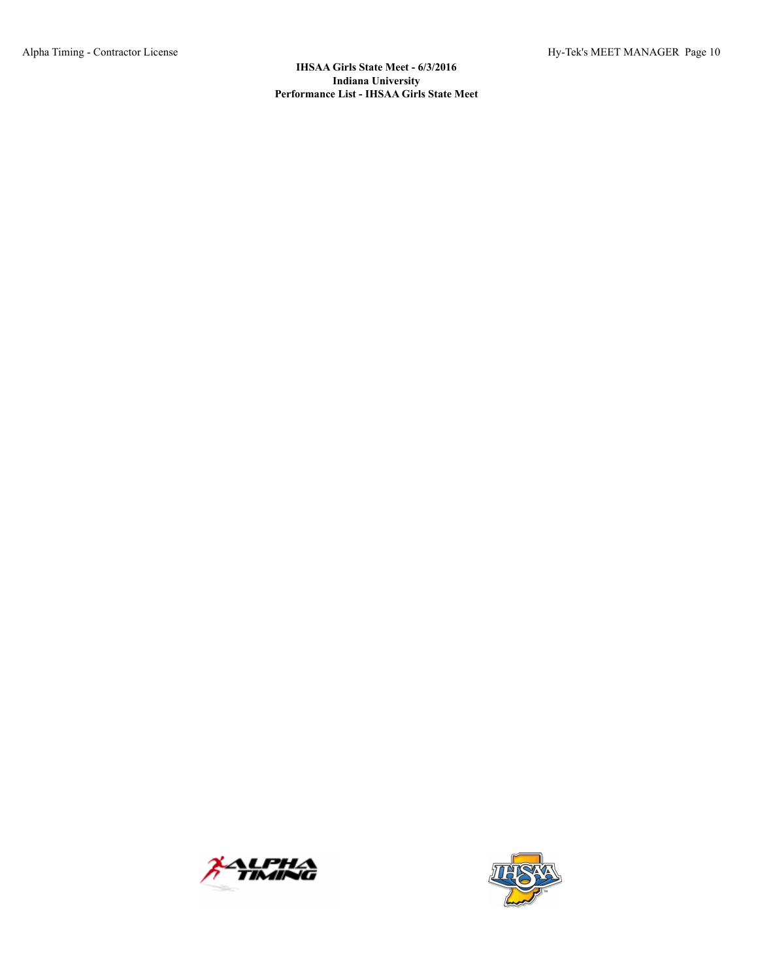

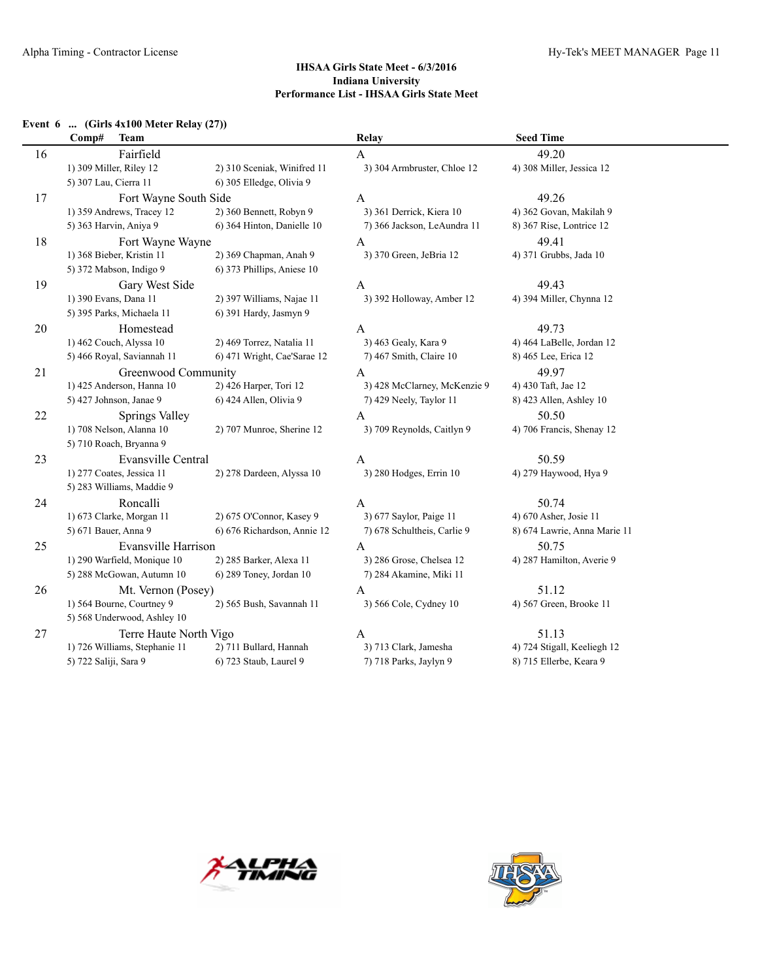# **Event 6 ... (Girls 4x100 Meter Relay (27))**

|    | Comp#<br><b>Team</b>          |                             | <b>Relay</b>                 | <b>Seed Time</b>             |  |
|----|-------------------------------|-----------------------------|------------------------------|------------------------------|--|
| 16 | Fairfield                     |                             | $\mathbf{A}$                 | 49.20                        |  |
|    | 1) 309 Miller, Riley 12       | 2) 310 Sceniak, Winifred 11 | 3) 304 Armbruster, Chloe 12  | 4) 308 Miller, Jessica 12    |  |
|    | 5) 307 Lau, Cierra 11         | 6) 305 Elledge, Olivia 9    |                              |                              |  |
| 17 | Fort Wayne South Side         |                             | A                            | 49.26                        |  |
|    | 1) 359 Andrews, Tracey 12     | 2) 360 Bennett, Robyn 9     | 3) 361 Derrick, Kiera 10     | 4) 362 Govan, Makilah 9      |  |
|    | 5) 363 Harvin, Aniya 9        | 6) 364 Hinton, Danielle 10  | 7) 366 Jackson, LeAundra 11  | 8) 367 Rise, Lontrice 12     |  |
| 18 | Fort Wayne Wayne              |                             | $\mathbf{A}$                 | 49.41                        |  |
|    | 1) 368 Bieber, Kristin 11     | 2) 369 Chapman, Anah 9      | 3) 370 Green, JeBria 12      | 4) 371 Grubbs, Jada 10       |  |
|    | 5) 372 Mabson, Indigo 9       | 6) 373 Phillips, Aniese 10  |                              |                              |  |
| 19 | Gary West Side                |                             | A                            | 49.43                        |  |
|    | 1) 390 Evans, Dana 11         | 2) 397 Williams, Najae 11   | 3) 392 Holloway, Amber 12    | 4) 394 Miller, Chynna 12     |  |
|    | 5) 395 Parks, Michaela 11     | 6) 391 Hardy, Jasmyn 9      |                              |                              |  |
| 20 | Homestead                     |                             | $\mathbf{A}$                 | 49.73                        |  |
|    | 1) 462 Couch, Alyssa 10       | 2) 469 Torrez, Natalia 11   | 3) 463 Gealy, Kara 9         | 4) 464 LaBelle, Jordan 12    |  |
|    | 5) 466 Royal, Saviannah 11    | 6) 471 Wright, Cae'Sarae 12 | 7) 467 Smith, Claire 10      | 8) 465 Lee, Erica 12         |  |
| 21 | Greenwood Community           |                             | $\mathbf{A}$                 | 49.97                        |  |
|    | 1) 425 Anderson, Hanna 10     | 2) 426 Harper, Tori 12      | 3) 428 McClarney, McKenzie 9 | 4) 430 Taft, Jae 12          |  |
|    | 5) 427 Johnson, Janae 9       | 6) 424 Allen, Olivia 9      | 7) 429 Neely, Taylor 11      | 8) 423 Allen, Ashley 10      |  |
| 22 | Springs Valley                |                             | $\mathbf{A}$                 | 50.50                        |  |
|    | 1) 708 Nelson, Alanna 10      | 2) 707 Munroe, Sherine 12   | 3) 709 Reynolds, Caitlyn 9   | 4) 706 Francis, Shenay 12    |  |
|    | 5) 710 Roach, Bryanna 9       |                             |                              |                              |  |
| 23 | Evansville Central            |                             | A                            | 50.59                        |  |
|    | 1) 277 Coates, Jessica 11     | 2) 278 Dardeen, Alyssa 10   | 3) 280 Hodges, Errin 10      | 4) 279 Haywood, Hya 9        |  |
|    | 5) 283 Williams, Maddie 9     |                             |                              |                              |  |
| 24 | Roncalli                      |                             | $\mathbf{A}$                 | 50.74                        |  |
|    | 1) 673 Clarke, Morgan 11      | 2) 675 O'Connor, Kasey 9    | 3) 677 Saylor, Paige 11      | 4) 670 Asher, Josie 11       |  |
|    | 5) 671 Bauer, Anna 9          | 6) 676 Richardson, Annie 12 | 7) 678 Schultheis, Carlie 9  | 8) 674 Lawrie, Anna Marie 11 |  |
| 25 | Evansville Harrison           |                             | $\mathbf{A}$                 | 50.75                        |  |
|    | 1) 290 Warfield, Monique 10   | 2) 285 Barker, Alexa 11     | 3) 286 Grose, Chelsea 12     | 4) 287 Hamilton, Averie 9    |  |
|    | 5) 288 McGowan, Autumn 10     | 6) 289 Toney, Jordan 10     | 7) 284 Akamine, Miki 11      |                              |  |
| 26 | Mt. Vernon (Posey)            |                             | $\mathbf{A}$                 | 51.12                        |  |
|    | 1) 564 Bourne, Courtney 9     | 2) 565 Bush, Savannah 11    | 3) 566 Cole, Cydney 10       | 4) 567 Green, Brooke 11      |  |
|    | 5) 568 Underwood, Ashley 10   |                             |                              |                              |  |
| 27 | Terre Haute North Vigo        |                             | A                            | 51.13                        |  |
|    | 1) 726 Williams, Stephanie 11 | 2) 711 Bullard, Hannah      | 3) 713 Clark, Jamesha        | 4) 724 Stigall, Keeliegh 12  |  |
|    | 5) 722 Saliji, Sara 9         | 6) 723 Staub, Laurel 9      | 7) 718 Parks, Jaylyn 9       | 8) 715 Ellerbe, Keara 9      |  |
|    |                               |                             |                              |                              |  |



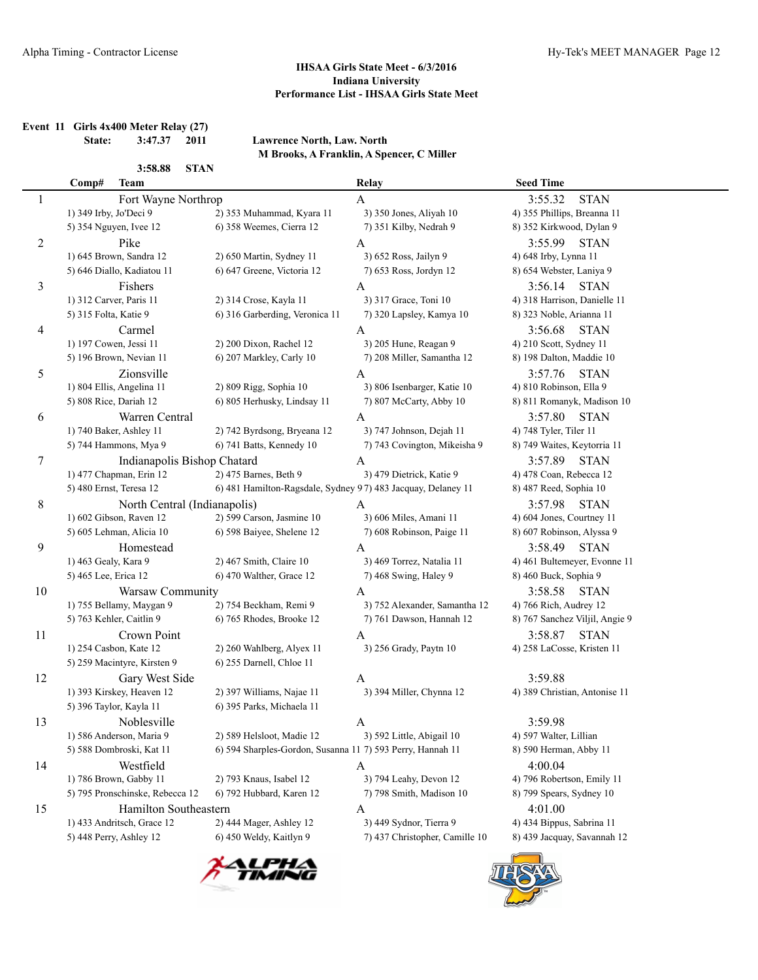**Event 11 Girls 4x400 Meter Relay (27)**

**State: 3:47.37 2011 Lawrence North, Law. North M Brooks, A Franklin, A Spencer, C Miller**

| 3:58.88 | <b>STAN</b> |
|---------|-------------|
|---------|-------------|

| $\sqrt{ }$<br>Comp# | Team | Relay<br>---- | .<br>Seed<br>1 ime |
|---------------------|------|---------------|--------------------|
|                     |      |               |                    |

| $\mathbf{1}$ | Fort Wayne Northrop             |                                                              | A                              | 3:55.32<br><b>STAN</b>         |
|--------------|---------------------------------|--------------------------------------------------------------|--------------------------------|--------------------------------|
|              | 1) 349 Irby, Jo'Deci 9          | 2) 353 Muhammad, Kyara 11                                    | 3) 350 Jones, Aliyah 10        | 4) 355 Phillips, Breanna 11    |
|              | 5) 354 Nguyen, Ivee 12          | 6) 358 Weemes, Cierra 12                                     | 7) 351 Kilby, Nedrah 9         | 8) 352 Kirkwood, Dylan 9       |
| 2            | Pike                            |                                                              | A                              | 3:55.99<br><b>STAN</b>         |
|              | 1) 645 Brown, Sandra 12         | 2) 650 Martin, Sydney 11                                     | 3) 652 Ross, Jailyn 9          | 4) 648 Irby, Lynna 11          |
|              | 5) 646 Diallo, Kadiatou 11      | 6) 647 Greene, Victoria 12                                   | 7) 653 Ross, Jordyn 12         | 8) 654 Webster, Laniya 9       |
| 3            | Fishers                         |                                                              | A                              | 3:56.14<br><b>STAN</b>         |
|              | 1) 312 Carver, Paris 11         | 2) 314 Crose, Kayla 11                                       | 3) 317 Grace, Toni 10          | 4) 318 Harrison, Danielle 11   |
|              | 5) 315 Folta, Katie 9           | 6) 316 Garberding, Veronica 11                               | 7) 320 Lapsley, Kamya 10       | 8) 323 Noble, Arianna 11       |
| 4            | Carmel                          |                                                              | A                              | 3:56.68<br><b>STAN</b>         |
|              | 1) 197 Cowen, Jessi 11          | 2) 200 Dixon, Rachel 12                                      | 3) 205 Hune, Reagan 9          | 4) 210 Scott, Sydney 11        |
|              | 5) 196 Brown, Nevian 11         | 6) 207 Markley, Carly 10                                     | 7) 208 Miller, Samantha 12     | 8) 198 Dalton, Maddie 10       |
| 5            | Zionsville                      |                                                              | A                              | <b>STAN</b><br>3:57.76         |
|              | 1) 804 Ellis, Angelina 11       | 2) 809 Rigg, Sophia 10                                       | 3) 806 Isenbarger, Katie 10    | 4) 810 Robinson, Ella 9        |
|              | 5) 808 Rice, Dariah 12          | 6) 805 Herhusky, Lindsay 11                                  | 7) 807 McCarty, Abby 10        | 8) 811 Romanyk, Madison 10     |
| 6            | Warren Central                  |                                                              | A                              | <b>STAN</b><br>3:57.80         |
|              | 1) 740 Baker, Ashley 11         | 2) 742 Byrdsong, Bryeana 12                                  | 3) 747 Johnson, Dejah 11       | 4) 748 Tyler, Tiler 11         |
|              | 5) 744 Hammons, Mya 9           | 6) 741 Batts, Kennedy 10                                     | 7) 743 Covington, Mikeisha 9   | 8) 749 Waites, Keytorria 11    |
| 7            | Indianapolis Bishop Chatard     |                                                              | A                              | 3:57.89<br><b>STAN</b>         |
|              | 1) 477 Chapman, Erin 12         | 2) 475 Barnes, Beth 9                                        | 3) 479 Dietrick, Katie 9       | 4) 478 Coan, Rebecca 12        |
|              | 5) 480 Ernst, Teresa 12         | 6) 481 Hamilton-Ragsdale, Sydney 97) 483 Jacquay, Delaney 11 |                                | 8) 487 Reed, Sophia 10         |
| 8            | North Central (Indianapolis)    |                                                              | A                              | 3:57.98<br><b>STAN</b>         |
|              | 1) 602 Gibson, Raven 12         | 2) 599 Carson, Jasmine 10                                    | 3) 606 Miles, Amani 11         | 4) 604 Jones, Courtney 11      |
|              | 5) 605 Lehman, Alicia 10        | 6) 598 Baiyee, Shelene 12                                    | 7) 608 Robinson, Paige 11      | 8) 607 Robinson, Alyssa 9      |
| 9            | Homestead                       |                                                              | A                              | 3:58.49<br><b>STAN</b>         |
|              | 1) 463 Gealy, Kara 9            | $2)$ 467 Smith, Claire 10                                    | 3) 469 Torrez, Natalia 11      | 4) 461 Bultemeyer, Evonne 11   |
|              | 5) 465 Lee, Erica 12            | 6) 470 Walther, Grace 12                                     | 7) 468 Swing, Haley 9          | 8) 460 Buck, Sophia 9          |
| 10           | Warsaw Community                |                                                              | A                              | 3:58.58<br><b>STAN</b>         |
|              | 1) 755 Bellamy, Maygan 9        | 2) 754 Beckham, Remi 9                                       | 3) 752 Alexander, Samantha 12  | 4) 766 Rich, Audrey 12         |
|              | 5) 763 Kehler, Caitlin 9        | 6) 765 Rhodes, Brooke 12                                     | 7) 761 Dawson, Hannah 12       | 8) 767 Sanchez Viljil, Angie 9 |
| 11           | Crown Point                     |                                                              | A                              | 3:58.87<br><b>STAN</b>         |
|              | 1) 254 Casbon, Kate 12          | 2) 260 Wahlberg, Alyex 11                                    | 3) 256 Grady, Paytn 10         | 4) 258 LaCosse, Kristen 11     |
|              | 5) 259 Macintyre, Kirsten 9     | 6) 255 Darnell, Chloe 11                                     |                                |                                |
| 12           | Gary West Side                  |                                                              | A                              | 3:59.88                        |
|              | 1) 393 Kirskey, Heaven 12       | 2) 397 Williams, Najae 11                                    | 3) 394 Miller, Chynna 12       | 4) 389 Christian, Antonise 11  |
|              | 5) 396 Taylor, Kayla 11         | 6) 395 Parks, Michaela 11                                    |                                |                                |
| 13           | Noblesville                     |                                                              |                                | 3:59.98                        |
|              | 1) 586 Anderson, Maria 9        | 2) 589 Helsloot, Madie 12                                    | A<br>3) 592 Little, Abigail 10 | 4) 597 Walter, Lillian         |
|              | 5) 588 Dombroski, Kat 11        | 6) 594 Sharples-Gordon, Susanna 11 7) 593 Perry, Hannah 11   |                                | 8) 590 Herman, Abby 11         |
|              | Westfield                       |                                                              |                                | 4:00.04                        |
| 14           | 1) 786 Brown, Gabby 11          | 2) 793 Knaus, Isabel 12                                      | A<br>3) 794 Leahy, Devon 12    | 4) 796 Robertson, Emily 11     |
|              | 5) 795 Pronschinske, Rebecca 12 | 6) 792 Hubbard, Karen 12                                     | 7) 798 Smith, Madison 10       | 8) 799 Spears, Sydney 10       |
|              | Hamilton Southeastern           |                                                              |                                | 4:01.00                        |
| 15           | 1) 433 Andritsch, Grace 12      | 2) 444 Mager, Ashley 12                                      | A<br>3) 449 Sydnor, Tierra 9   | 4) 434 Bippus, Sabrina 11      |
|              | 5) 448 Perry, Ashley 12         | 6) 450 Weldy, Kaitlyn 9                                      | 7) 437 Christopher, Camille 10 | 8) 439 Jacquay, Savannah 12    |
|              |                                 |                                                              |                                |                                |



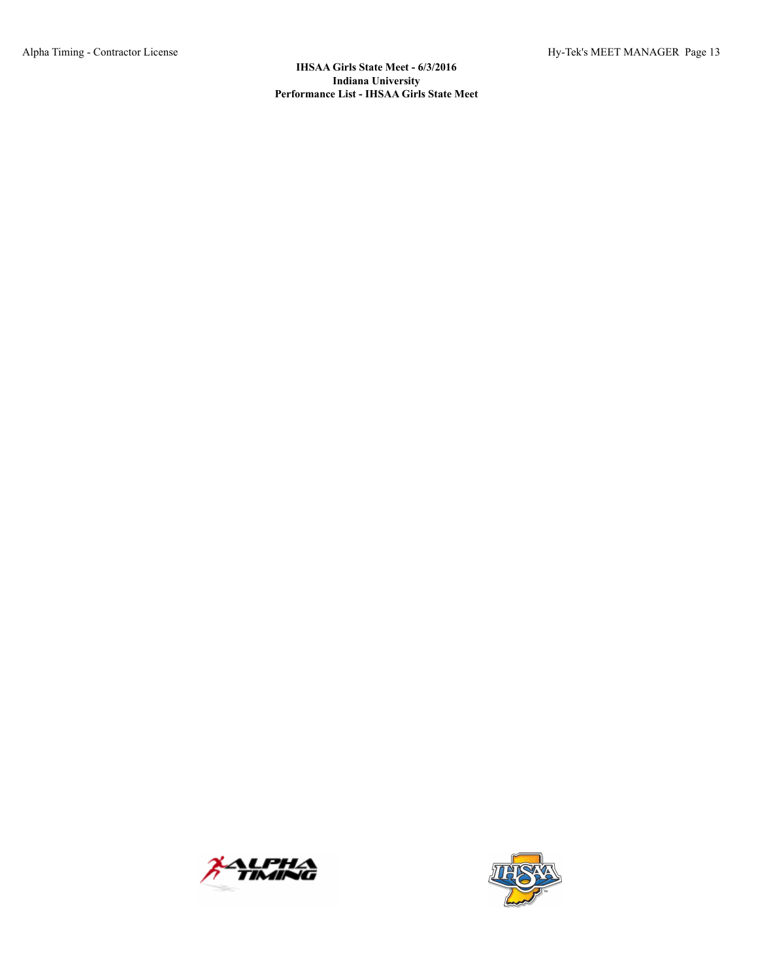

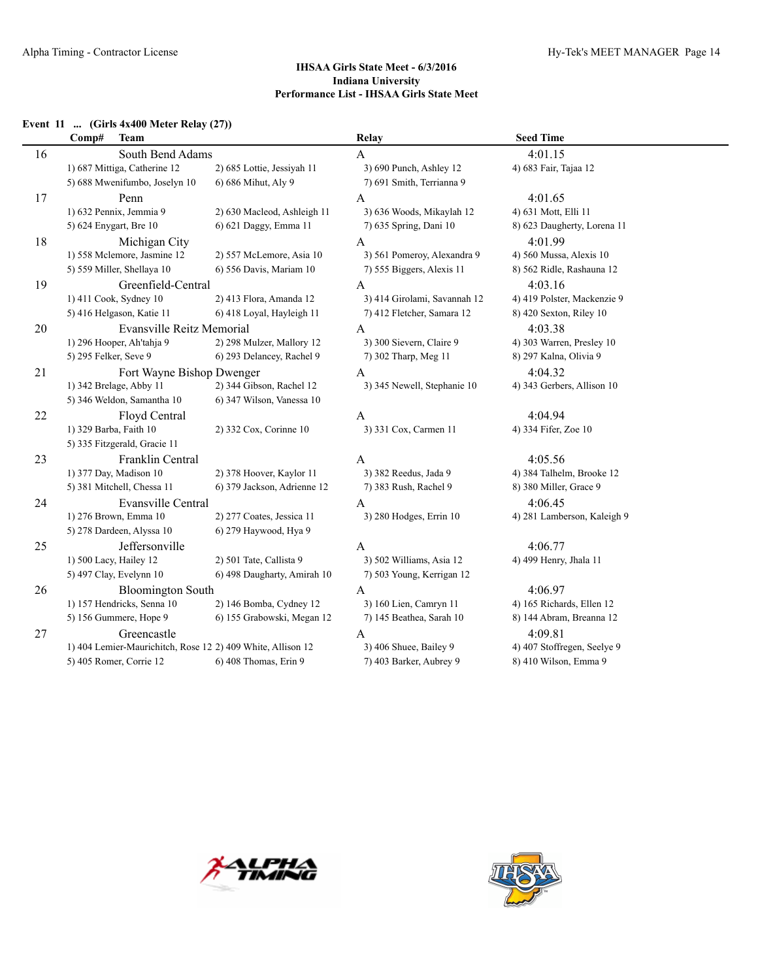# **Event 11 ... (Girls 4x400 Meter Relay (27))**

|    | Comp#<br><b>Team</b>                                        |                             | <b>Relay</b>                 | <b>Seed Time</b>            |  |
|----|-------------------------------------------------------------|-----------------------------|------------------------------|-----------------------------|--|
| 16 | South Bend Adams                                            |                             | $\mathbf{A}$                 | 4:01.15                     |  |
|    | 1) 687 Mittiga, Catherine 12                                | 2) 685 Lottie, Jessiyah 11  | 3) 690 Punch, Ashley 12      | 4) 683 Fair, Tajaa 12       |  |
|    | 5) 688 Mwenifumbo, Joselyn 10                               | 6) 686 Mihut, Aly 9         | 7) 691 Smith, Terrianna 9    |                             |  |
| 17 | Penn                                                        |                             | A                            | 4:01.65                     |  |
|    | 1) 632 Pennix, Jemmia 9                                     | 2) 630 Macleod, Ashleigh 11 | 3) 636 Woods, Mikaylah 12    | 4) 631 Mott, Elli 11        |  |
|    | 5) 624 Enygart, Bre 10                                      | 6) 621 Daggy, Emma 11       | 7) 635 Spring, Dani 10       | 8) 623 Daugherty, Lorena 11 |  |
| 18 | Michigan City                                               |                             | A                            | 4:01.99                     |  |
|    | 1) 558 Mclemore, Jasmine 12                                 | 2) 557 McLemore, Asia 10    | 3) 561 Pomeroy, Alexandra 9  | 4) 560 Mussa, Alexis 10     |  |
|    | 5) 559 Miller, Shellaya 10                                  | 6) 556 Davis, Mariam 10     | 7) 555 Biggers, Alexis 11    | 8) 562 Ridle, Rashauna 12   |  |
| 19 | Greenfield-Central                                          |                             | A                            | 4:03.16                     |  |
|    | 1) 411 Cook, Sydney 10                                      | 2) 413 Flora, Amanda 12     | 3) 414 Girolami, Savannah 12 | 4) 419 Polster, Mackenzie 9 |  |
|    | 5) 416 Helgason, Katie 11                                   | 6) 418 Loyal, Hayleigh 11   | 7) 412 Fletcher, Samara 12   | 8) 420 Sexton, Riley 10     |  |
| 20 | <b>Evansville Reitz Memorial</b>                            |                             | $\mathbf{A}$                 | 4:03.38                     |  |
|    | 1) 296 Hooper, Ah'tahja 9                                   | 2) 298 Mulzer, Mallory 12   | 3) 300 Sievern, Claire 9     | 4) 303 Warren, Presley 10   |  |
|    | 5) 295 Felker, Seve 9                                       | 6) 293 Delancey, Rachel 9   | 7) 302 Tharp, Meg 11         | 8) 297 Kalna, Olivia 9      |  |
| 21 | Fort Wayne Bishop Dwenger                                   |                             | A                            | 4:04.32                     |  |
|    | 1) 342 Brelage, Abby 11                                     | 2) 344 Gibson, Rachel 12    | 3) 345 Newell, Stephanie 10  | 4) 343 Gerbers, Allison 10  |  |
|    | 5) 346 Weldon, Samantha 10                                  | 6) 347 Wilson, Vanessa 10   |                              |                             |  |
| 22 | Floyd Central                                               |                             | A                            | 4:04.94                     |  |
|    | 1) 329 Barba, Faith 10                                      | 2) 332 Cox, Corinne 10      | 3) 331 Cox, Carmen 11        | 4) 334 Fifer, Zoe 10        |  |
|    | 5) 335 Fitzgerald, Gracie 11                                |                             |                              |                             |  |
| 23 | Franklin Central                                            |                             | A                            | 4:05.56                     |  |
|    | 1) 377 Day, Madison 10                                      | 2) 378 Hoover, Kaylor 11    | 3) 382 Reedus, Jada 9        | 4) 384 Talhelm, Brooke 12   |  |
|    | 5) 381 Mitchell, Chessa 11                                  | 6) 379 Jackson, Adrienne 12 | 7) 383 Rush, Rachel 9        | 8) 380 Miller, Grace 9      |  |
| 24 | Evansville Central                                          |                             | A                            | 4:06.45                     |  |
|    | 1) 276 Brown, Emma 10                                       | 2) 277 Coates, Jessica 11   | 3) 280 Hodges, Errin 10      | 4) 281 Lamberson, Kaleigh 9 |  |
|    | 5) 278 Dardeen, Alyssa 10                                   | 6) 279 Haywood, Hya 9       |                              |                             |  |
| 25 | Jeffersonville                                              |                             | A                            | 4:06.77                     |  |
|    | 1) 500 Lacy, Hailey 12                                      | 2) 501 Tate, Callista 9     | 3) 502 Williams, Asia 12     | 4) 499 Henry, Jhala 11      |  |
|    | 5) 497 Clay, Evelynn 10                                     | 6) 498 Daugharty, Amirah 10 | 7) 503 Young, Kerrigan 12    |                             |  |
| 26 | <b>Bloomington South</b>                                    |                             | A                            | 4:06.97                     |  |
|    | 1) 157 Hendricks, Senna 10                                  | 2) 146 Bomba, Cydney 12     | 3) 160 Lien, Camryn 11       | 4) 165 Richards, Ellen 12   |  |
|    | 5) 156 Gummere, Hope 9                                      | 6) 155 Grabowski, Megan 12  | 7) 145 Beathea, Sarah 10     | 8) 144 Abram, Breanna 12    |  |
| 27 | Greencastle                                                 |                             | A                            | 4:09.81                     |  |
|    | 1) 404 Lemier-Maurichitch, Rose 12 2) 409 White, Allison 12 |                             | 3) 406 Shuee, Bailey 9       | 4) 407 Stoffregen, Seelye 9 |  |
|    | 5) 405 Romer, Corrie 12                                     | 6) 408 Thomas, Erin 9       | 7) 403 Barker, Aubrey 9      | 8) 410 Wilson, Emma 9       |  |
|    |                                                             |                             |                              |                             |  |



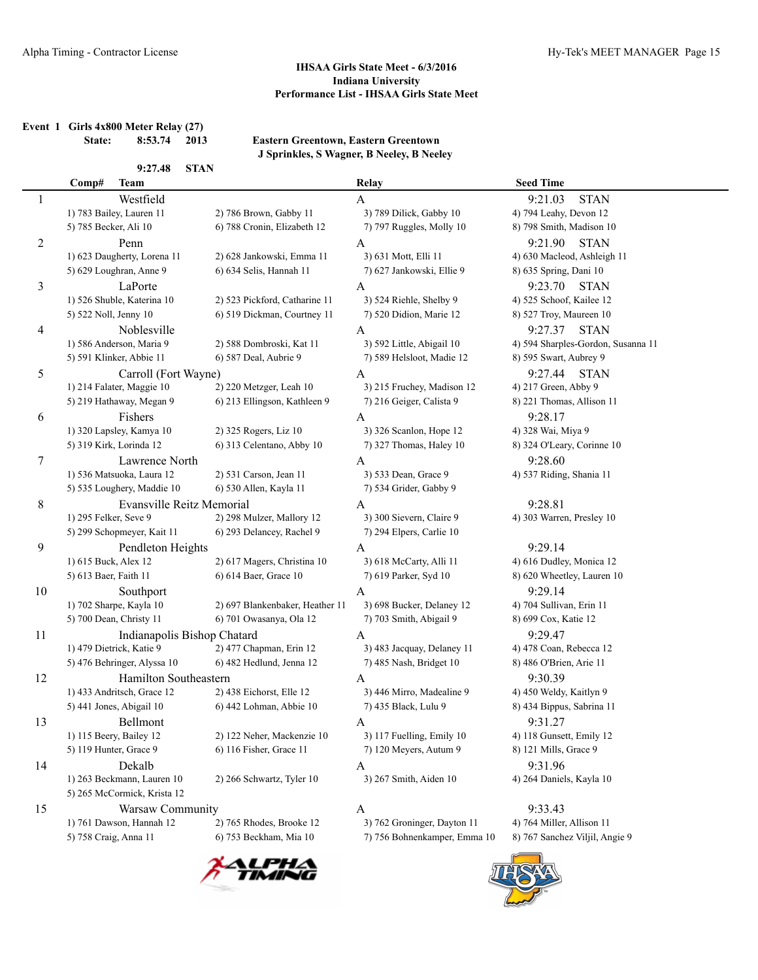**Event 1 Girls 4x800 Meter Relay (27)**

**State: 8:53.74 2013 Eastern Greentown, Eastern Greentown J Sprinkles, S Wagner, B Neeley, B Neeley**

#### **Comp# Team Relay Seed Time**

| 1              | Westfield                        |                                 | A                            | <b>STAN</b><br>9:21.03              |
|----------------|----------------------------------|---------------------------------|------------------------------|-------------------------------------|
|                | 1) 783 Bailey, Lauren 11         | 2) 786 Brown, Gabby 11          | 3) 789 Dilick, Gabby 10      | 4) 794 Leahy, Devon 12              |
|                | 5) 785 Becker, Ali 10            | 6) 788 Cronin, Elizabeth 12     | 7) 797 Ruggles, Molly 10     | 8) 798 Smith, Madison 10            |
| $\overline{2}$ | Penn                             |                                 | A                            | 9:21.90<br><b>STAN</b>              |
|                | 1) 623 Daugherty, Lorena 11      | 2) 628 Jankowski, Emma 11       | 3) 631 Mott, Elli 11         | 4) 630 Macleod, Ashleigh 11         |
|                | 5) 629 Loughran, Anne 9          | 6) 634 Selis, Hannah 11         | 7) 627 Jankowski, Ellie 9    | 8) 635 Spring, Dani 10              |
| 3              | LaPorte                          |                                 | A                            | 9:23.70<br><b>STAN</b>              |
|                | 1) 526 Shuble, Katerina 10       | 2) 523 Pickford, Catharine 11   | 3) 524 Riehle, Shelby 9      | 4) 525 Schoof, Kailee 12            |
|                | 5) 522 Noll, Jenny 10            | 6) 519 Dickman, Courtney 11     | 7) 520 Didion, Marie 12      | 8) 527 Troy, Maureen 10             |
| 4              | Noblesville                      |                                 | $\mathbf{A}$                 | 9:27.37<br><b>STAN</b>              |
|                | 1) 586 Anderson, Maria 9         | 2) 588 Dombroski, Kat 11        | 3) 592 Little, Abigail 10    | 4) 594 Sharples-Gordon, Susanna 11  |
|                | 5) 591 Klinker, Abbie 11         | 6) 587 Deal, Aubrie 9           | 7) 589 Helsloot, Madie 12    | 8) 595 Swart, Aubrey 9              |
| 5              | Carroll (Fort Wayne)             |                                 | A                            | 9:27.44<br><b>STAN</b>              |
|                | 1) 214 Falater, Maggie 10        | 2) 220 Metzger, Leah 10         | 3) 215 Fruchey, Madison 12   | 4) 217 Green, Abby 9                |
|                | 5) 219 Hathaway, Megan 9         | 6) 213 Ellingson, Kathleen 9    | 7) 216 Geiger, Calista 9     | 8) 221 Thomas, Allison 11           |
|                | Fishers                          |                                 | A                            | 9:28.17                             |
| 6              | 1) 320 Lapsley, Kamya 10         | 2) 325 Rogers, Liz 10           | 3) 326 Scanlon, Hope 12      | 4) 328 Wai, Miya 9                  |
|                | 5) 319 Kirk, Lorinda 12          | 6) 313 Celentano, Abby 10       | 7) 327 Thomas, Haley 10      | 8) 324 O'Leary, Corinne 10          |
|                |                                  |                                 |                              |                                     |
| 7              | Lawrence North                   |                                 | A                            | 9:28.60<br>4) 537 Riding, Shania 11 |
|                | 1) 536 Matsuoka, Laura 12        | 2) 531 Carson, Jean 11          | 3) 533 Dean, Grace 9         |                                     |
|                | 5) 535 Loughery, Maddie 10       | 6) 530 Allen, Kayla 11          | 7) 534 Grider, Gabby 9       |                                     |
| 8              | <b>Evansville Reitz Memorial</b> |                                 | A                            | 9:28.81                             |
|                | 1) 295 Felker, Seve 9            | 2) 298 Mulzer, Mallory 12       | 3) 300 Sievern, Claire 9     | 4) 303 Warren, Presley 10           |
|                | 5) 299 Schopmeyer, Kait 11       | 6) 293 Delancey, Rachel 9       | 7) 294 Elpers, Carlie 10     |                                     |
| 9              | Pendleton Heights                |                                 | A                            | 9:29.14                             |
|                | 1) 615 Buck, Alex 12             | 2) 617 Magers, Christina 10     | 3) 618 McCarty, Alli 11      | 4) 616 Dudley, Monica 12            |
|                | 5) 613 Baer, Faith 11            | 6) 614 Baer, Grace 10           | 7) 619 Parker, Syd 10        | 8) 620 Wheetley, Lauren 10          |
| 10             | Southport                        |                                 | A                            | 9:29.14                             |
|                | 1) 702 Sharpe, Kayla 10          | 2) 697 Blankenbaker, Heather 11 | 3) 698 Bucker, Delaney 12    | 4) 704 Sullivan, Erin 11            |
|                | 5) 700 Dean, Christy 11          | 6) 701 Owasanya, Ola 12         | 7) 703 Smith, Abigail 9      | 8) 699 Cox, Katie 12                |
| 11             | Indianapolis Bishop Chatard      |                                 | A                            | 9:29.47                             |
|                | 1) 479 Dietrick, Katie 9         | 2) 477 Chapman, Erin 12         | 3) 483 Jacquay, Delaney 11   | 4) 478 Coan, Rebecca 12             |
|                | 5) 476 Behringer, Alyssa 10      | 6) 482 Hedlund, Jenna 12        | 7) 485 Nash, Bridget 10      | 8) 486 O'Brien, Arie 11             |
| 12             | Hamilton Southeastern            |                                 | A                            | 9:30.39                             |
|                | 1) 433 Andritsch, Grace 12       | 2) 438 Eichorst, Elle 12        | 3) 446 Mirro, Madealine 9    | 4) 450 Weldy, Kaitlyn 9             |
|                | 5) 441 Jones, Abigail 10         | 6) 442 Lohman, Abbie 10         | 7) 435 Black, Lulu 9         | 8) 434 Bippus, Sabrina 11           |
| 13             | Bellmont                         |                                 | A                            | 9:31.27                             |
|                | 1) 115 Beery, Bailey 12          | 2) 122 Neher, Mackenzie 10      | 3) 117 Fuelling, Emily 10    | 4) 118 Gunsett, Emily 12            |
|                | 5) 119 Hunter, Grace 9           | $6)$ 116 Fisher, Grace 11       | 7) 120 Meyers, Autum 9       | 8) 121 Mills, Grace 9               |
| 14             | Dekalb                           |                                 | A                            | 9:31.96                             |
|                | 1) 263 Beckmann, Lauren 10       | 2) 266 Schwartz, Tyler 10       | 3) 267 Smith, Aiden 10       | 4) 264 Daniels, Kayla 10            |
|                | 5) 265 McCormick, Krista 12      |                                 |                              |                                     |
| 15             | Warsaw Community                 |                                 | $\mathbf{A}$                 | 9:33.43                             |
|                | 1) 761 Dawson, Hannah 12         | 2) 765 Rhodes, Brooke 12        | 3) 762 Groninger, Dayton 11  | 4) 764 Miller, Allison 11           |
|                | 5) 758 Craig, Anna 11            | 6) 753 Beckham, Mia 10          | 7) 756 Bohnenkamper, Emma 10 | 8) 767 Sanchez Viljil, Angie 9      |



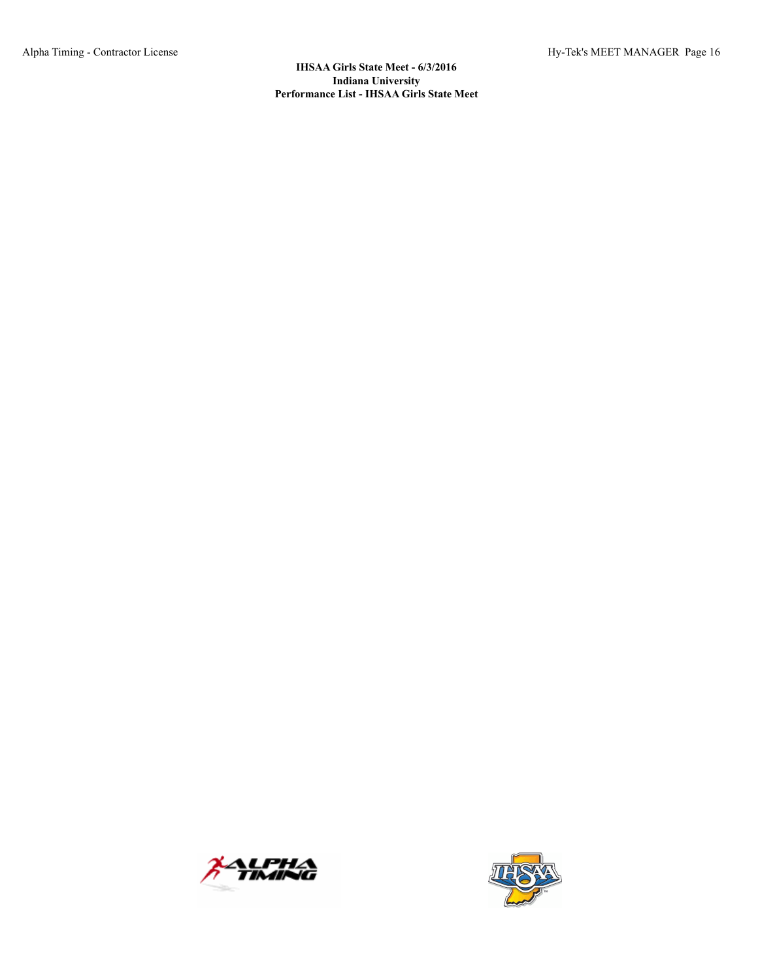

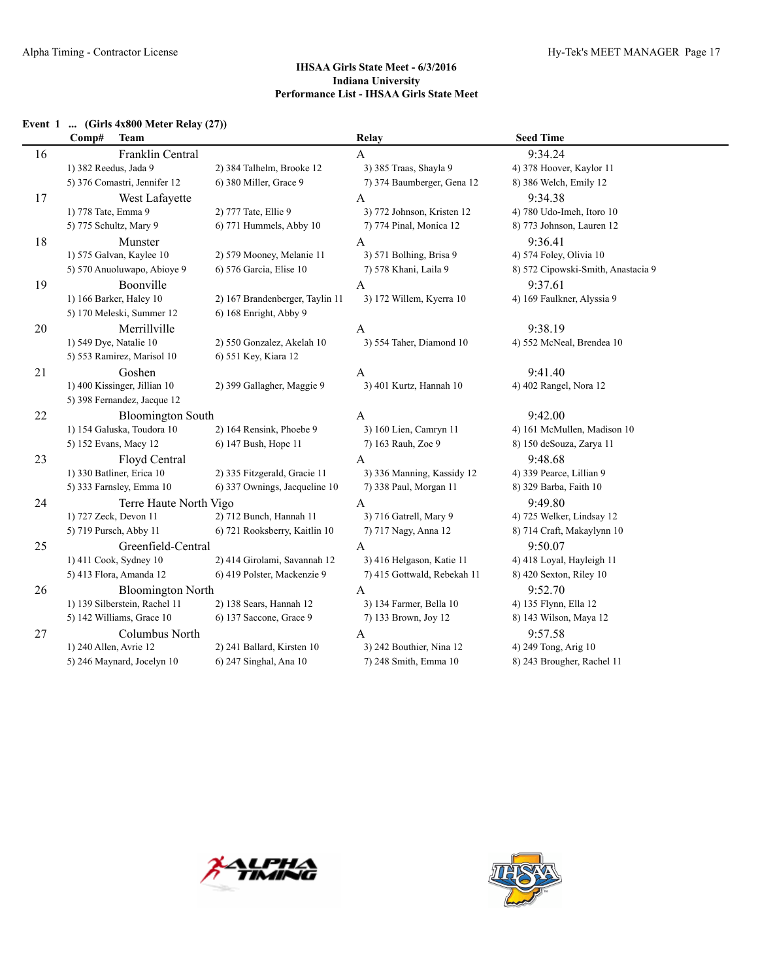# **Event 1 ... (Girls 4x800 Meter Relay (27))**

|    | Comp#<br><b>Team</b>          |                                 | <b>Relay</b>                | <b>Seed Time</b>                   |
|----|-------------------------------|---------------------------------|-----------------------------|------------------------------------|
| 16 | Franklin Central              |                                 | $\mathbf{A}$                | 9:34.24                            |
|    | 1) 382 Reedus, Jada 9         | 2) 384 Talhelm, Brooke 12       | 3) 385 Traas, Shayla 9      | 4) 378 Hoover, Kaylor 11           |
|    | 5) 376 Comastri, Jennifer 12  | 6) 380 Miller, Grace 9          | 7) 374 Baumberger, Gena 12  | 8) 386 Welch, Emily 12             |
| 17 | West Lafayette                |                                 | $\mathbf{A}$                | 9:34.38                            |
|    | 1) 778 Tate, Emma 9           | 2) 777 Tate, Ellie 9            | 3) 772 Johnson, Kristen 12  | 4) 780 Udo-Imeh, Itoro 10          |
|    | 5) 775 Schultz, Mary 9        | 6) 771 Hummels, Abby 10         | 7) 774 Pinal, Monica 12     | 8) 773 Johnson, Lauren 12          |
| 18 | Munster                       |                                 | A                           | 9:36.41                            |
|    | 1) 575 Galvan, Kaylee 10      | 2) 579 Mooney, Melanie 11       | 3) 571 Bolhing, Brisa 9     | 4) 574 Foley, Olivia 10            |
|    | 5) 570 Anuoluwapo, Abioye 9   | 6) 576 Garcia, Elise 10         | 7) 578 Khani, Laila 9       | 8) 572 Cipowski-Smith, Anastacia 9 |
| 19 | Boonville                     |                                 | $\mathbf{A}$                | 9:37.61                            |
|    | 1) 166 Barker, Haley 10       | 2) 167 Brandenberger, Taylin 11 | 3) 172 Willem, Kyerra 10    | 4) 169 Faulkner, Alyssia 9         |
|    | 5) 170 Meleski, Summer 12     | 6) 168 Enright, Abby 9          |                             |                                    |
| 20 | Merrillville                  |                                 | A                           | 9:38.19                            |
|    | 1) 549 Dye, Natalie 10        | 2) 550 Gonzalez, Akelah 10      | 3) 554 Taher, Diamond 10    | 4) 552 McNeal, Brendea 10          |
|    | 5) 553 Ramirez, Marisol 10    | 6) 551 Key, Kiara 12            |                             |                                    |
| 21 | Goshen                        |                                 | A                           | 9:41.40                            |
|    | 1) 400 Kissinger, Jillian 10  | 2) 399 Gallagher, Maggie 9      | 3) 401 Kurtz, Hannah 10     | 4) 402 Rangel, Nora 12             |
|    | 5) 398 Fernandez, Jacque 12   |                                 |                             |                                    |
| 22 | <b>Bloomington South</b>      |                                 | $\mathbf{A}$                | 9:42.00                            |
|    | 1) 154 Galuska, Toudora 10    | 2) 164 Rensink, Phoebe 9        | 3) 160 Lien, Camryn 11      | 4) 161 McMullen, Madison 10        |
|    | 5) 152 Evans, Macy 12         | 6) 147 Bush, Hope 11            | 7) 163 Rauh, Zoe 9          | 8) 150 deSouza, Zarya 11           |
| 23 | Floyd Central                 |                                 | A                           | 9:48.68                            |
|    | 1) 330 Batliner, Erica 10     | 2) 335 Fitzgerald, Gracie 11    | 3) 336 Manning, Kassidy 12  | 4) 339 Pearce, Lillian 9           |
|    | 5) 333 Farnsley, Emma 10      | 6) 337 Ownings, Jacqueline 10   | 7) 338 Paul, Morgan 11      | 8) 329 Barba, Faith 10             |
| 24 | Terre Haute North Vigo        |                                 | A                           | 9:49.80                            |
|    | 1) 727 Zeck, Devon 11         | 2) 712 Bunch, Hannah 11         | 3) 716 Gatrell, Mary 9      | 4) 725 Welker, Lindsay 12          |
|    | 5) 719 Pursch, Abby 11        | 6) 721 Rooksberry, Kaitlin 10   | 7) 717 Nagy, Anna 12        | 8) 714 Craft, Makaylynn 10         |
| 25 | Greenfield-Central            |                                 | $\mathbf{A}$                | 9:50.07                            |
|    | 1) 411 Cook, Sydney 10        | 2) 414 Girolami, Savannah 12    | 3) 416 Helgason, Katie 11   | 4) 418 Loyal, Hayleigh 11          |
|    | 5) 413 Flora, Amanda 12       | 6) 419 Polster, Mackenzie 9     | 7) 415 Gottwald, Rebekah 11 | 8) 420 Sexton, Riley 10            |
| 26 | <b>Bloomington North</b>      |                                 | $\mathbf{A}$                | 9:52.70                            |
|    | 1) 139 Silberstein, Rachel 11 | 2) 138 Sears, Hannah 12         | 3) 134 Farmer, Bella 10     | 4) 135 Flynn, Ella 12              |
|    | 5) 142 Williams, Grace 10     | 6) 137 Saccone, Grace 9         | 7) 133 Brown, Joy 12        | 8) 143 Wilson, Maya 12             |
| 27 | Columbus North                |                                 | A                           | 9:57.58                            |
|    | 1) 240 Allen, Avrie 12        | 2) 241 Ballard, Kirsten 10      | 3) 242 Bouthier, Nina 12    | 4) 249 Tong, Arig 10               |
|    | 5) 246 Maynard, Jocelyn 10    | 6) 247 Singhal, Ana 10          | 7) 248 Smith, Emma 10       | 8) 243 Brougher, Rachel 11         |
|    |                               |                                 |                             |                                    |



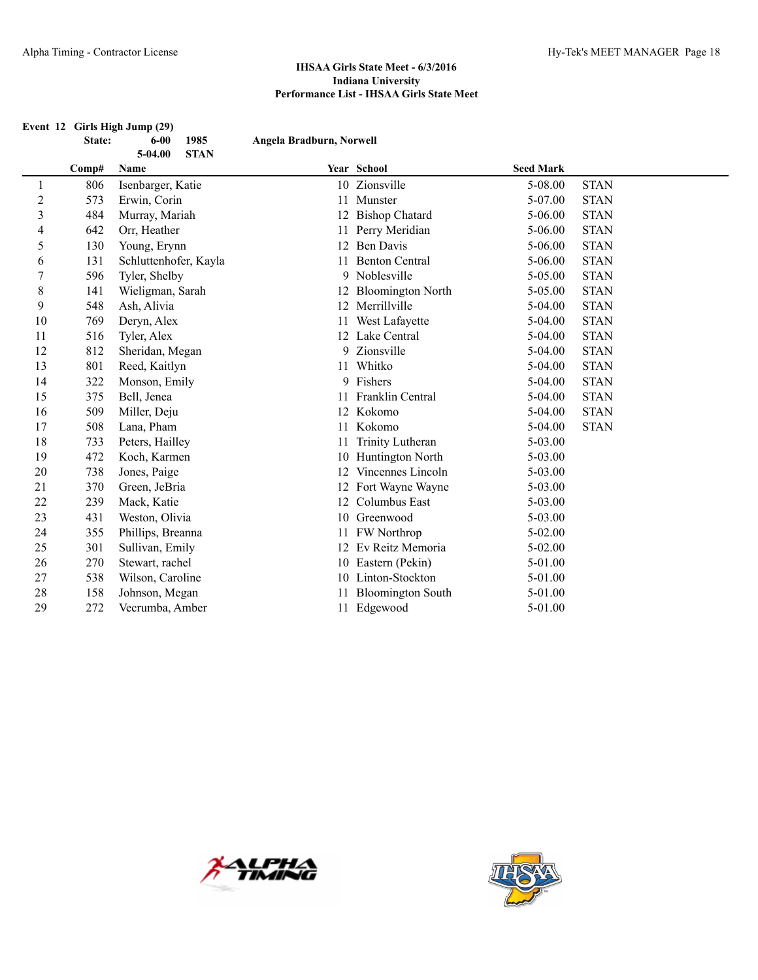|    | State: | Event 12 Girls High Jump (29)<br>1985<br>$6 - 00$ | Angela Bradburn, Norwell |                          |                  |             |
|----|--------|---------------------------------------------------|--------------------------|--------------------------|------------------|-------------|
|    | Comp#  | <b>STAN</b><br>5-04.00<br>Name                    |                          | Year School              | <b>Seed Mark</b> |             |
| 1  | 806    | Isenbarger, Katie                                 | 10                       | Zionsville               | 5-08.00          | <b>STAN</b> |
| 2  | 573    | Erwin, Corin                                      |                          | Munster                  | 5-07.00          | <b>STAN</b> |
| 3  | 484    | Murray, Mariah                                    | 12                       | <b>Bishop Chatard</b>    | $5 - 06.00$      | <b>STAN</b> |
| 4  | 642    | Orr, Heather                                      | 11                       | Perry Meridian           | 5-06.00          | <b>STAN</b> |
| 5  | 130    | Young, Erynn                                      | 12                       | <b>Ben Davis</b>         | $5 - 06.00$      | <b>STAN</b> |
| 6  | 131    | Schluttenhofer, Kayla                             | 11                       | <b>Benton Central</b>    | $5 - 06.00$      | <b>STAN</b> |
| 7  | 596    | Tyler, Shelby                                     | 9                        | Noblesville              | 5-05.00          | <b>STAN</b> |
| 8  | 141    | Wieligman, Sarah                                  |                          | <b>Bloomington North</b> | $5 - 05.00$      | <b>STAN</b> |
| 9  | 548    | Ash, Alivia                                       | 12                       | Merrillville             | $5-04.00$        | <b>STAN</b> |
| 10 | 769    | Deryn, Alex                                       | 11                       | West Lafayette           | $5-04.00$        | <b>STAN</b> |
| 11 | 516    | Tyler, Alex                                       | 12                       | Lake Central             | $5-04.00$        | <b>STAN</b> |
| 12 | 812    | Sheridan, Megan                                   | 9                        | Zionsville               | $5-04.00$        | <b>STAN</b> |
| 13 | 801    | Reed, Kaitlyn                                     |                          | 11 Whitko                | $5-04.00$        | <b>STAN</b> |
| 14 | 322    | Monson, Emily                                     | 9                        | Fishers                  | $5-04.00$        | <b>STAN</b> |
| 15 | 375    | Bell, Jenea                                       | 11                       | Franklin Central         | $5-04.00$        | <b>STAN</b> |
| 16 | 509    | Miller, Deju                                      | 12                       | Kokomo                   | $5-04.00$        | <b>STAN</b> |
| 17 | 508    | Lana, Pham                                        | 11                       | Kokomo                   | $5-04.00$        | <b>STAN</b> |
| 18 | 733    | Peters, Hailley                                   | 11                       | Trinity Lutheran         | 5-03.00          |             |
| 19 | 472    | Koch, Karmen                                      | 10                       | Huntington North         | $5 - 03.00$      |             |
| 20 | 738    | Jones, Paige                                      | 12                       | Vincennes Lincoln        | 5-03.00          |             |
| 21 | 370    | Green, JeBria                                     | 12                       | Fort Wayne Wayne         | $5 - 03.00$      |             |
| 22 | 239    | Mack, Katie                                       | 12                       | Columbus East            | $5 - 03.00$      |             |
| 23 | 431    | Weston, Olivia                                    | 10                       | Greenwood                | $5 - 03.00$      |             |
| 24 | 355    | Phillips, Breanna                                 |                          | 11 FW Northrop           | $5 - 02.00$      |             |
| 25 | 301    | Sullivan, Emily                                   | 12                       | Ev Reitz Memoria         | $5 - 02.00$      |             |
| 26 | 270    | Stewart, rachel                                   | 10                       | Eastern (Pekin)          | 5-01.00          |             |
| 27 | 538    | Wilson, Caroline                                  | 10                       | Linton-Stockton          | 5-01.00          |             |
| 28 | 158    | Johnson, Megan                                    | 11                       | <b>Bloomington South</b> | 5-01.00          |             |
| 29 | 272    | Vecrumba, Amber                                   |                          | 11 Edgewood              | 5-01.00          |             |



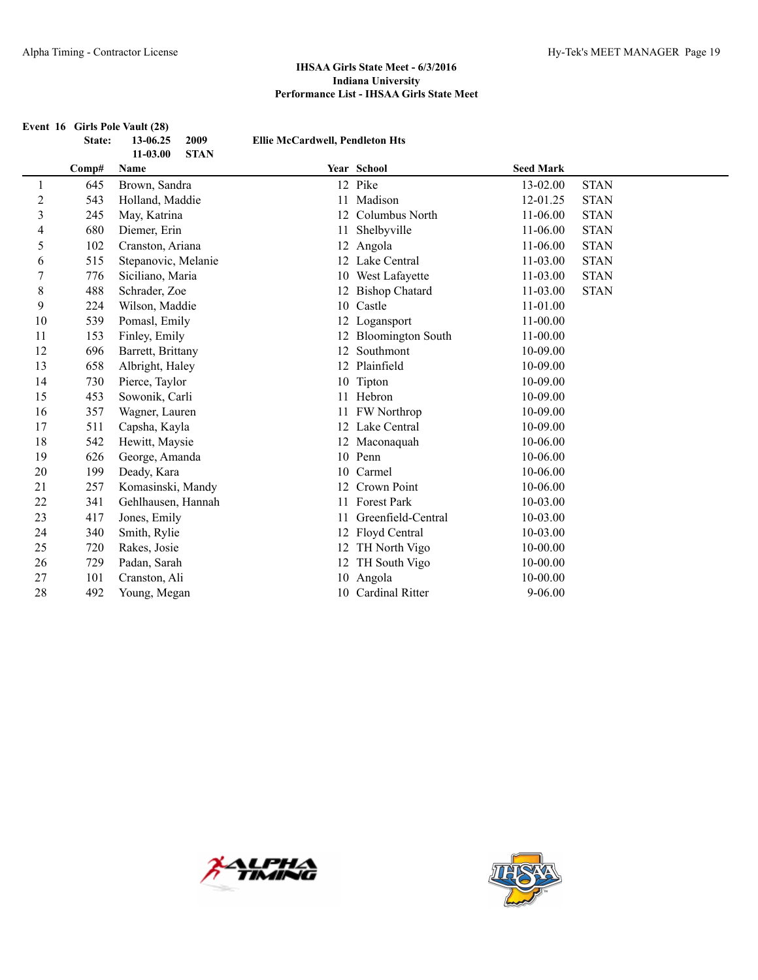|                |        | Event 16 Girls Pole Vault (28)<br>2009 |                                        |                      |                  |             |
|----------------|--------|----------------------------------------|----------------------------------------|----------------------|------------------|-------------|
|                | State: | 13-06.25<br><b>STAN</b><br>11-03.00    | <b>Ellie McCardwell, Pendleton Hts</b> |                      |                  |             |
|                | Comp#  | Name                                   |                                        | Year School          | <b>Seed Mark</b> |             |
| 1              | 645    | Brown, Sandra                          |                                        | 12 Pike              | 13-02.00         | <b>STAN</b> |
| $\overline{c}$ | 543    | Holland, Maddie                        |                                        | 11 Madison           | 12-01.25         | <b>STAN</b> |
| 3              | 245    | May, Katrina                           |                                        | 12 Columbus North    | 11-06.00         | <b>STAN</b> |
| 4              | 680    | Diemer, Erin                           | 11                                     | Shelbyville          | 11-06.00         | <b>STAN</b> |
| 5              | 102    | Cranston, Ariana                       |                                        | 12 Angola            | 11-06.00         | <b>STAN</b> |
| 6              | 515    | Stepanovic, Melanie                    |                                        | 12 Lake Central      | 11-03.00         | <b>STAN</b> |
| $\overline{7}$ | 776    | Siciliano, Maria                       |                                        | 10 West Lafayette    | 11-03.00         | <b>STAN</b> |
| 8              | 488    | Schrader, Zoe                          |                                        | 12 Bishop Chatard    | 11-03.00         | <b>STAN</b> |
| 9              | 224    | Wilson, Maddie                         | 10                                     | Castle               | 11-01.00         |             |
| 10             | 539    | Pomasl, Emily                          |                                        | 12 Logansport        | 11-00.00         |             |
| 11             | 153    | Finley, Emily                          |                                        | 12 Bloomington South | 11-00.00         |             |
| 12             | 696    | Barrett, Brittany                      | 12                                     | Southmont            | 10-09.00         |             |
| 13             | 658    | Albright, Haley                        | 12                                     | Plainfield           | 10-09.00         |             |
| 14             | 730    | Pierce, Taylor                         |                                        | 10 Tipton            | 10-09.00         |             |
| 15             | 453    | Sowonik, Carli                         |                                        | 11 Hebron            | 10-09.00         |             |
| 16             | 357    | Wagner, Lauren                         |                                        | 11 FW Northrop       | 10-09.00         |             |
| 17             | 511    | Capsha, Kayla                          |                                        | 12 Lake Central      | 10-09.00         |             |
| 18             | 542    | Hewitt, Maysie                         |                                        | 12 Maconaquah        | 10-06.00         |             |
| 19             | 626    | George, Amanda                         |                                        | 10 Penn              | 10-06.00         |             |
| 20             | 199    | Deady, Kara                            | 10                                     | Carmel               | 10-06.00         |             |
| 21             | 257    | Komasinski, Mandy                      | 12                                     | Crown Point          | 10-06.00         |             |
| 22             | 341    | Gehlhausen, Hannah                     | 11                                     | <b>Forest Park</b>   | 10-03.00         |             |
| 23             | 417    | Jones, Emily                           | 11                                     | Greenfield-Central   | 10-03.00         |             |
| 24             | 340    | Smith, Rylie                           |                                        | 12 Floyd Central     | 10-03.00         |             |
| 25             | 720    | Rakes, Josie                           |                                        | 12 TH North Vigo     | 10-00.00         |             |
| 26             | 729    | Padan, Sarah                           |                                        | 12 TH South Vigo     | 10-00.00         |             |
| 27             | 101    | Cranston, Ali                          |                                        | 10 Angola            | 10-00.00         |             |
| 28             | 492    | Young, Megan                           |                                        | 10 Cardinal Ritter   | $9 - 06.00$      |             |



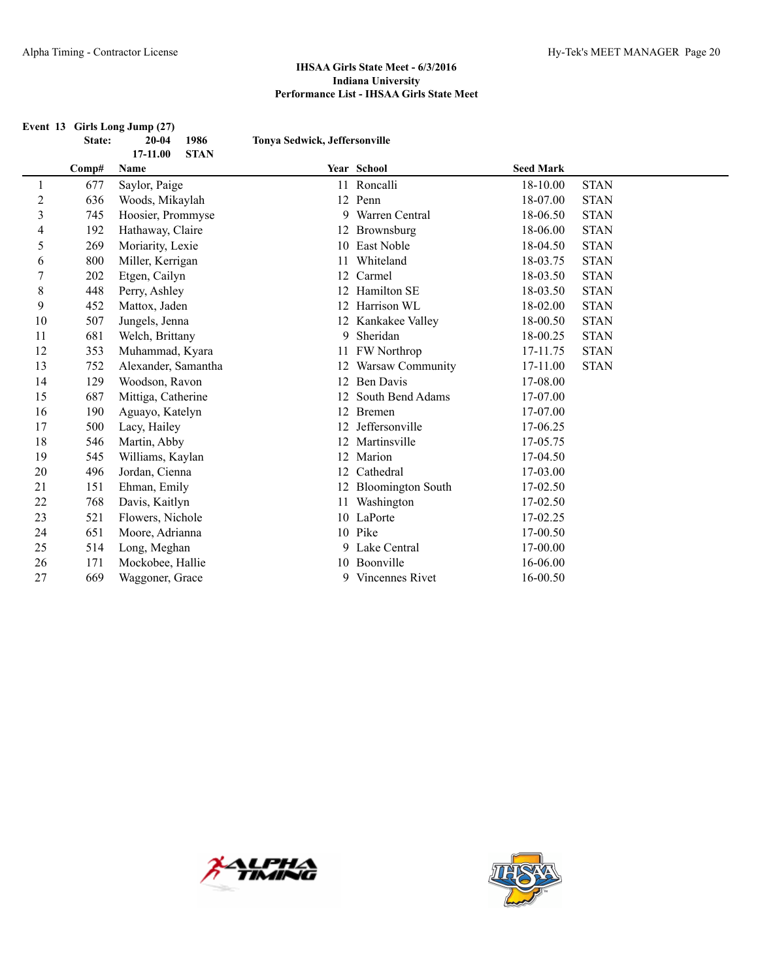|                | State: | Event 13 Girls Long Jump (27)<br>1986<br>$20 - 04$ | Tonya Sedwick, Jeffersonville |                      |                  |             |
|----------------|--------|----------------------------------------------------|-------------------------------|----------------------|------------------|-------------|
|                |        | 17-11.00<br><b>STAN</b>                            |                               |                      |                  |             |
|                | Comp#  | Name                                               |                               | Year School          | <b>Seed Mark</b> |             |
| 1              | 677    | Saylor, Paige                                      |                               | 11 Roncalli          | 18-10.00         | <b>STAN</b> |
| $\overline{c}$ | 636    | Woods, Mikaylah                                    |                               | 12 Penn              | 18-07.00         | <b>STAN</b> |
| 3              | 745    | Hoosier, Prommyse                                  |                               | 9 Warren Central     | 18-06.50         | <b>STAN</b> |
| 4              | 192    | Hathaway, Claire                                   |                               | 12 Brownsburg        | 18-06.00         | <b>STAN</b> |
| 5              | 269    | Moriarity, Lexie                                   |                               | 10 East Noble        | 18-04.50         | <b>STAN</b> |
| 6              | 800    | Miller, Kerrigan                                   | 11                            | Whiteland            | 18-03.75         | <b>STAN</b> |
| 7              | 202    | Etgen, Cailyn                                      |                               | 12 Carmel            | 18-03.50         | <b>STAN</b> |
| 8              | 448    | Perry, Ashley                                      |                               | 12 Hamilton SE       | 18-03.50         | <b>STAN</b> |
| 9              | 452    | Mattox, Jaden                                      |                               | 12 Harrison WL       | 18-02.00         | <b>STAN</b> |
| 10             | 507    | Jungels, Jenna                                     |                               | 12 Kankakee Valley   | 18-00.50         | <b>STAN</b> |
| 11             | 681    | Welch, Brittany                                    | 9                             | Sheridan             | 18-00.25         | <b>STAN</b> |
| 12             | 353    | Muhammad, Kyara                                    |                               | 11 FW Northrop       | 17-11.75         | <b>STAN</b> |
| 13             | 752    | Alexander, Samantha                                |                               | 12 Warsaw Community  | 17-11.00         | <b>STAN</b> |
| 14             | 129    | Woodson, Ravon                                     |                               | 12 Ben Davis         | 17-08.00         |             |
| 15             | 687    | Mittiga, Catherine                                 | 12                            | South Bend Adams     | 17-07.00         |             |
| 16             | 190    | Aguayo, Katelyn                                    |                               | 12 Bremen            | 17-07.00         |             |
| 17             | 500    | Lacy, Hailey                                       |                               | 12 Jeffersonville    | 17-06.25         |             |
| 18             | 546    | Martin, Abby                                       |                               | 12 Martinsville      | 17-05.75         |             |
| 19             | 545    | Williams, Kaylan                                   |                               | 12 Marion            | 17-04.50         |             |
| 20             | 496    | Jordan, Cienna                                     |                               | 12 Cathedral         | 17-03.00         |             |
| 21             | 151    | Ehman, Emily                                       |                               | 12 Bloomington South | 17-02.50         |             |
| 22             | 768    | Davis, Kaitlyn                                     | 11                            | Washington           | 17-02.50         |             |
| 23             | 521    | Flowers, Nichole                                   |                               | 10 LaPorte           | 17-02.25         |             |
| 24             | 651    | Moore, Adrianna                                    |                               | 10 Pike              | 17-00.50         |             |
| 25             | 514    | Long, Meghan                                       |                               | 9 Lake Central       | 17-00.00         |             |
| 26             | 171    | Mockobee, Hallie                                   |                               | 10 Boonville         | 16-06.00         |             |
| 27             | 669    | Waggoner, Grace                                    |                               | 9 Vincennes Rivet    | 16-00.50         |             |



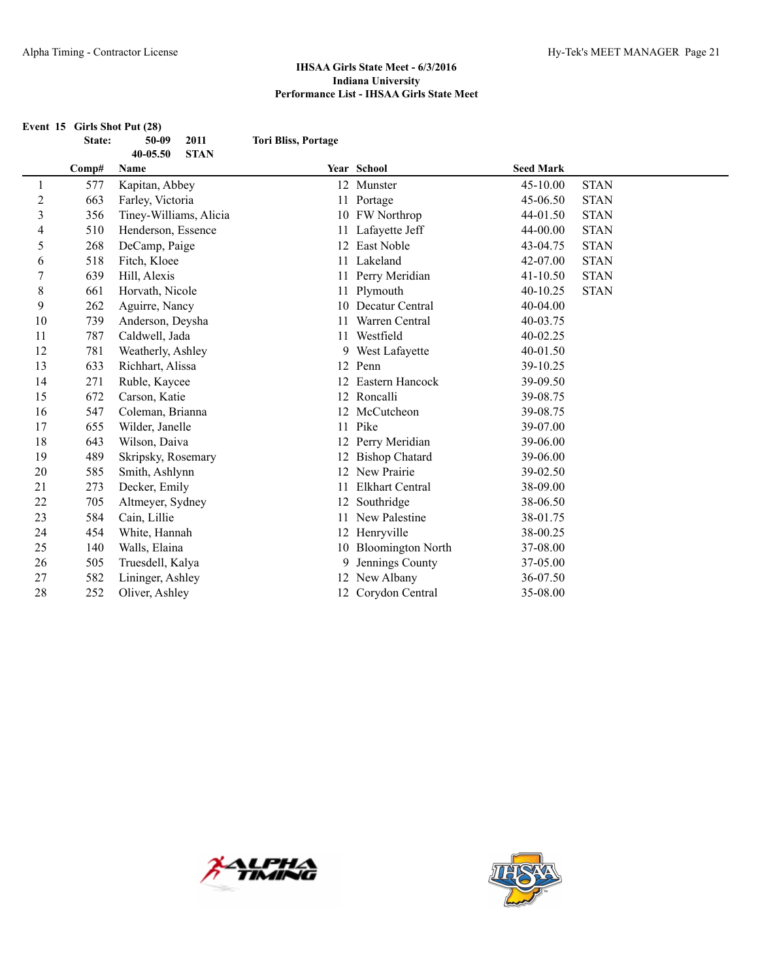|                | State: | Event 15 Girls Shot Put (28)<br>50-09<br>2011 | <b>Tori Bliss, Portage</b> |                        |                  |             |
|----------------|--------|-----------------------------------------------|----------------------------|------------------------|------------------|-------------|
|                |        | 40-05.50<br><b>STAN</b>                       |                            |                        |                  |             |
|                | Comp#  | Name                                          |                            | Year School            | <b>Seed Mark</b> |             |
| 1              | 577    | Kapitan, Abbey                                |                            | 12 Munster             | 45-10.00         | <b>STAN</b> |
| $\overline{2}$ | 663    | Farley, Victoria                              |                            | 11 Portage             | 45-06.50         | <b>STAN</b> |
| 3              | 356    | Tiney-Williams, Alicia                        |                            | 10 FW Northrop         | 44-01.50         | <b>STAN</b> |
| 4              | 510    | Henderson, Essence                            | 11                         | Lafayette Jeff         | 44-00.00         | <b>STAN</b> |
| 5              | 268    | DeCamp, Paige                                 |                            | 12 East Noble          | 43-04.75         | <b>STAN</b> |
| 6              | 518    | Fitch, Kloee                                  |                            | 11 Lakeland            | 42-07.00         | <b>STAN</b> |
| 7              | 639    | Hill, Alexis                                  |                            | 11 Perry Meridian      | $41 - 10.50$     | <b>STAN</b> |
| 8              | 661    | Horvath, Nicole                               |                            | 11 Plymouth            | 40-10.25         | <b>STAN</b> |
| 9              | 262    | Aguirre, Nancy                                |                            | 10 Decatur Central     | 40-04.00         |             |
| 10             | 739    | Anderson, Deysha                              | 11                         | Warren Central         | 40-03.75         |             |
| 11             | 787    | Caldwell, Jada                                | 11                         | Westfield              | 40-02.25         |             |
| 12             | 781    | Weatherly, Ashley                             |                            | 9 West Lafayette       | 40-01.50         |             |
| 13             | 633    | Richhart, Alissa                              |                            | 12 Penn                | 39-10.25         |             |
| 14             | 271    | Ruble, Kaycee                                 |                            | 12 Eastern Hancock     | 39-09.50         |             |
| 15             | 672    | Carson, Katie                                 |                            | 12 Roncalli            | 39-08.75         |             |
| 16             | 547    | Coleman, Brianna                              |                            | 12 McCutcheon          | 39-08.75         |             |
| 17             | 655    | Wilder, Janelle                               |                            | 11 Pike                | 39-07.00         |             |
| 18             | 643    | Wilson, Daiva                                 |                            | 12 Perry Meridian      | 39-06.00         |             |
| 19             | 489    | Skripsky, Rosemary                            | 12                         | <b>Bishop Chatard</b>  | 39-06.00         |             |
| 20             | 585    | Smith, Ashlynn                                | 12                         | New Prairie            | 39-02.50         |             |
| 21             | 273    | Decker, Emily                                 | 11                         | <b>Elkhart Central</b> | 38-09.00         |             |
| 22             | 705    | Altmeyer, Sydney                              | 12                         | Southridge             | 38-06.50         |             |
| 23             | 584    | Cain, Lillie                                  | 11                         | New Palestine          | 38-01.75         |             |
| 24             | 454    | White, Hannah                                 |                            | 12 Henryville          | 38-00.25         |             |
| 25             | 140    | Walls, Elaina                                 |                            | 10 Bloomington North   | 37-08.00         |             |
| 26             | 505    | Truesdell, Kalya                              |                            | Jennings County        | 37-05.00         |             |
| 27             | 582    | Lininger, Ashley                              |                            | 12 New Albany          | 36-07.50         |             |
| 28             | 252    | Oliver, Ashley                                |                            | 12 Corydon Central     | 35-08.00         |             |